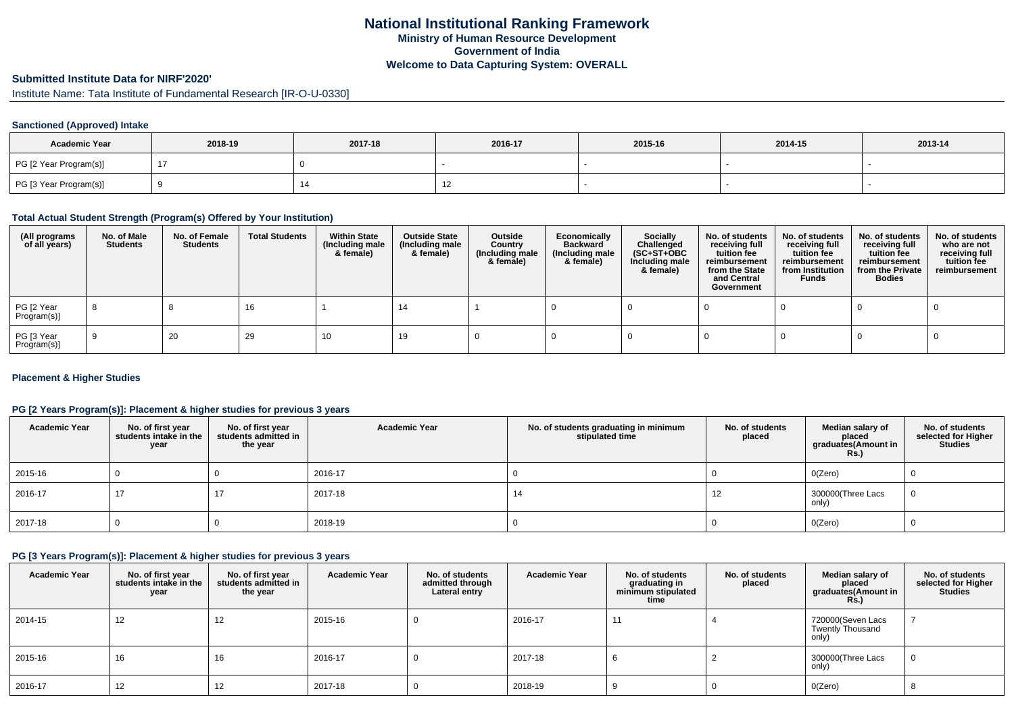### **Submitted Institute Data for NIRF'2020'**

Institute Name: Tata Institute of Fundamental Research [IR-O-U-0330]

# **Sanctioned (Approved) Intake**

| <b>Academic Year</b>   | 2018-19 | 2017-18 | 2016-17                  | 2015-16 | 2014-15 | 2013-14 |
|------------------------|---------|---------|--------------------------|---------|---------|---------|
| PG [2 Year Program(s)] |         |         |                          |         |         |         |
| PG [3 Year Program(s)] |         |         | $\overline{\phantom{0}}$ |         |         |         |

#### **Total Actual Student Strength (Program(s) Offered by Your Institution)**

| (All programs<br>of all years) | No. of Male<br><b>Students</b> | No. of Female<br>Students | <b>Total Students</b> | <b>Within State</b><br>(Including male<br>& female) | <b>Outside State</b><br>(Including male<br>& female) | Outside<br>Country<br>(Including male<br>& female) | Economically<br>Backward<br>(Including male<br>& female) | Socially<br>Challenged<br>$(SC+ST+OBC)$<br>Including male<br>& female) | No. of students<br>receiving full<br>tuition fee<br>reimbursement<br>from the State<br>and Central<br>Government | No. of students<br>receiving full<br>tuition fee<br>reimbursement<br>from Institution<br><b>Funds</b> | No. of students<br>receiving full<br>tuition fee<br>reimbursement<br>from the Private<br><b>Bodies</b> | No. of students<br>who are not<br>receiving full<br>tuition fee<br>reimbursement |
|--------------------------------|--------------------------------|---------------------------|-----------------------|-----------------------------------------------------|------------------------------------------------------|----------------------------------------------------|----------------------------------------------------------|------------------------------------------------------------------------|------------------------------------------------------------------------------------------------------------------|-------------------------------------------------------------------------------------------------------|--------------------------------------------------------------------------------------------------------|----------------------------------------------------------------------------------|
| PG [2 Year<br>Program(s)]      | -8                             |                           | 16                    |                                                     | 14                                                   |                                                    |                                                          |                                                                        |                                                                                                                  |                                                                                                       |                                                                                                        |                                                                                  |
| PG [3 Year<br>Program(s)]      | -9                             | 20                        | 29                    | 10                                                  | 19                                                   |                                                    |                                                          |                                                                        |                                                                                                                  |                                                                                                       |                                                                                                        |                                                                                  |

# **Placement & Higher Studies**

# **PG [2 Years Program(s)]: Placement & higher studies for previous 3 years**

| <b>Academic Year</b> | No. of first year<br>students intake in the<br>year | No. of first year<br>students admitted in<br>the year | <b>Academic Year</b> | No. of students graduating in minimum<br>stipulated time | No. of students<br>placed | Median salary of<br>placed<br>graduates(Amount in<br><b>Rs.)</b> | No. of students<br>selected for Higher<br><b>Studies</b> |
|----------------------|-----------------------------------------------------|-------------------------------------------------------|----------------------|----------------------------------------------------------|---------------------------|------------------------------------------------------------------|----------------------------------------------------------|
| 2015-16              |                                                     |                                                       | 2016-17              |                                                          |                           | O(Zero)                                                          |                                                          |
| 2016-17              | 17                                                  | 17                                                    | 2017-18              | 14                                                       | 12                        | 300000(Three Lacs<br>only)                                       | 0                                                        |
| 2017-18              |                                                     |                                                       | 2018-19              |                                                          |                           | O(Zero)                                                          |                                                          |

#### **PG [3 Years Program(s)]: Placement & higher studies for previous 3 years**

| <b>Academic Year</b> | No. of first year<br>students intake in the<br>year | No. of first vear<br>students admitted in<br>the year | <b>Academic Year</b> | No. of students<br>admitted through<br>Lateral entry | <b>Academic Year</b> | No. of students<br>graduating in<br>minimum stipulated<br>time | No. of students<br>placed | Median salary of<br>placed<br>graduates(Amount in<br><b>Rs.</b> ) | No. of students<br>selected for Higher<br><b>Studies</b> |
|----------------------|-----------------------------------------------------|-------------------------------------------------------|----------------------|------------------------------------------------------|----------------------|----------------------------------------------------------------|---------------------------|-------------------------------------------------------------------|----------------------------------------------------------|
| 2014-15              | 12                                                  | 12                                                    | 2015-16              | 0                                                    | 2016-17              | 11                                                             |                           | 720000(Seven Lacs<br>Twently Thousand<br>only)                    |                                                          |
| 2015-16              | 16                                                  | 16                                                    | 2016-17              | 0                                                    | 2017-18              |                                                                |                           | 300000(Three Lacs<br>only)                                        |                                                          |
| 2016-17              | 12                                                  | 12                                                    | 2017-18              | U                                                    | 2018-19              |                                                                |                           | O(Zero)                                                           |                                                          |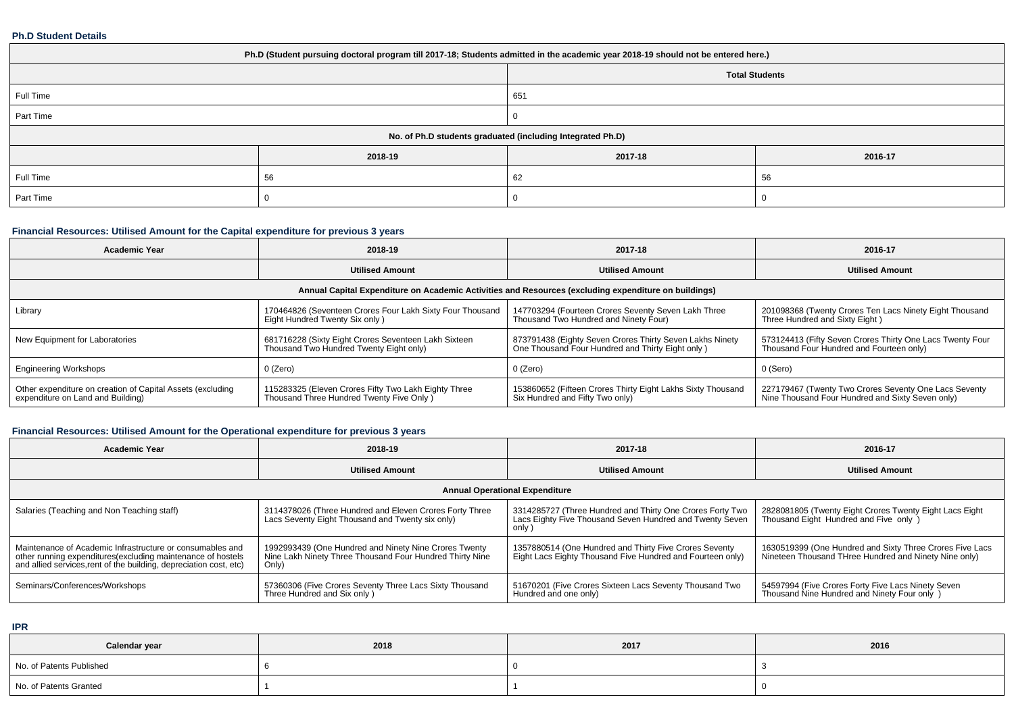#### **Ph.D Student Details**

| Ph.D (Student pursuing doctoral program till 2017-18; Students admitted in the academic year 2018-19 should not be entered here.) |         |                       |         |  |  |
|-----------------------------------------------------------------------------------------------------------------------------------|---------|-----------------------|---------|--|--|
|                                                                                                                                   |         | <b>Total Students</b> |         |  |  |
| Full Time                                                                                                                         |         | 651                   |         |  |  |
| Part Time                                                                                                                         |         |                       |         |  |  |
| No. of Ph.D students graduated (including Integrated Ph.D)                                                                        |         |                       |         |  |  |
|                                                                                                                                   | 2018-19 | 2017-18               | 2016-17 |  |  |
| Full Time                                                                                                                         | 56      | 62                    | 56      |  |  |
| Part Time                                                                                                                         |         |                       |         |  |  |

# **Financial Resources: Utilised Amount for the Capital expenditure for previous 3 years**

| <b>Academic Year</b>                                                                                 | 2018-19                                                                                          | 2017-18                                                                                                       | 2016-17                                                                                                   |  |  |  |
|------------------------------------------------------------------------------------------------------|--------------------------------------------------------------------------------------------------|---------------------------------------------------------------------------------------------------------------|-----------------------------------------------------------------------------------------------------------|--|--|--|
|                                                                                                      | <b>Utilised Amount</b>                                                                           | <b>Utilised Amount</b>                                                                                        | <b>Utilised Amount</b>                                                                                    |  |  |  |
| Annual Capital Expenditure on Academic Activities and Resources (excluding expenditure on buildings) |                                                                                                  |                                                                                                               |                                                                                                           |  |  |  |
| Library                                                                                              | 170464826 (Seventeen Crores Four Lakh Sixty Four Thousand<br>Eight Hundred Twenty Six only)      | 147703294 (Fourteen Crores Seventy Seven Lakh Three<br>Thousand Two Hundred and Ninety Four)                  | 201098368 (Twenty Crores Ten Lacs Ninety Eight Thousand<br>Three Hundred and Sixty Eight)                 |  |  |  |
| New Equipment for Laboratories                                                                       | 681716228 (Sixty Eight Crores Seventeen Lakh Sixteen<br>Thousand Two Hundred Twenty Eight only)  | 873791438 (Eighty Seven Crores Thirty Seven Lakhs Ninety<br>One Thousand Four Hundred and Thirty Eight only ) | 573124413 (Fifty Seven Crores Thirty One Lacs Twenty Four<br>Thousand Four Hundred and Fourteen only)     |  |  |  |
| <b>Engineering Workshops</b>                                                                         | 0 (Zero)                                                                                         | 0 (Zero)                                                                                                      | 0 (Sero)                                                                                                  |  |  |  |
| Other expenditure on creation of Capital Assets (excluding<br>expenditure on Land and Building)      | 115283325 (Eleven Crores Fifty Two Lakh Eighty Three<br>Thousand Three Hundred Twenty Five Only) | 153860652 (Fifteen Crores Thirty Eight Lakhs Sixty Thousand<br>Six Hundred and Fifty Two only)                | 227179467 (Twenty Two Crores Seventy One Lacs Seventy<br>Nine Thousand Four Hundred and Sixty Seven only) |  |  |  |

# **Financial Resources: Utilised Amount for the Operational expenditure for previous 3 years**

| <b>Academic Year</b>                                                                                                                                                                            | 2018-19                                                                                                                    | 2017-18                                                                                                                       | 2016-17                                                                                                           |  |  |  |
|-------------------------------------------------------------------------------------------------------------------------------------------------------------------------------------------------|----------------------------------------------------------------------------------------------------------------------------|-------------------------------------------------------------------------------------------------------------------------------|-------------------------------------------------------------------------------------------------------------------|--|--|--|
|                                                                                                                                                                                                 | <b>Utilised Amount</b>                                                                                                     | <b>Utilised Amount</b>                                                                                                        | <b>Utilised Amount</b>                                                                                            |  |  |  |
| <b>Annual Operational Expenditure</b>                                                                                                                                                           |                                                                                                                            |                                                                                                                               |                                                                                                                   |  |  |  |
| Salaries (Teaching and Non Teaching staff)                                                                                                                                                      | 3114378026 (Three Hundred and Eleven Crores Forty Three<br>Lacs Seventy Eight Thousand and Twenty six only)                | 3314285727 (Three Hundred and Thirty One Crores Forty Two<br>Lacs Eighty Five Thousand Seven Hundred and Twenty Seven<br>only | 2828081805 (Twenty Eight Crores Twenty Eight Lacs Eight<br>Thousand Eight Hundred and Five only )                 |  |  |  |
| Maintenance of Academic Infrastructure or consumables and<br>other running expenditures (excluding maintenance of hostels<br>and allied services, rent of the building, depreciation cost, etc) | 1992993439 (One Hundred and Ninety Nine Crores Twenty<br>Nine Lakh Ninety Three Thousand Four Hundred Thirty Nine<br>Only) | 1357880514 (One Hundred and Thirty Five Crores Seventy<br>Eight Lacs Eighty Thousand Five Hundred and Fourteen only)          | 1630519399 (One Hundred and Sixty Three Crores Five Lacs<br>Nineteen Thousand THree Hundred and Ninety Nine only) |  |  |  |
| Seminars/Conferences/Workshops                                                                                                                                                                  | 57360306 (Five Crores Seventy Three Lacs Sixty Thousand<br>Three Hundred and Six only)                                     | 51670201 (Five Crores Sixteen Lacs Seventy Thousand Two<br>Hundred and one only)                                              | 54597994 (Five Crores Forty Five Lacs Ninety Seven<br>Thousand Nine Hundred and Ninety Four only )                |  |  |  |

**IPR**

| Calendar year            | 2018 | 2017 | 2016 |
|--------------------------|------|------|------|
| No. of Patents Published |      |      |      |
| No. of Patents Granted   |      |      |      |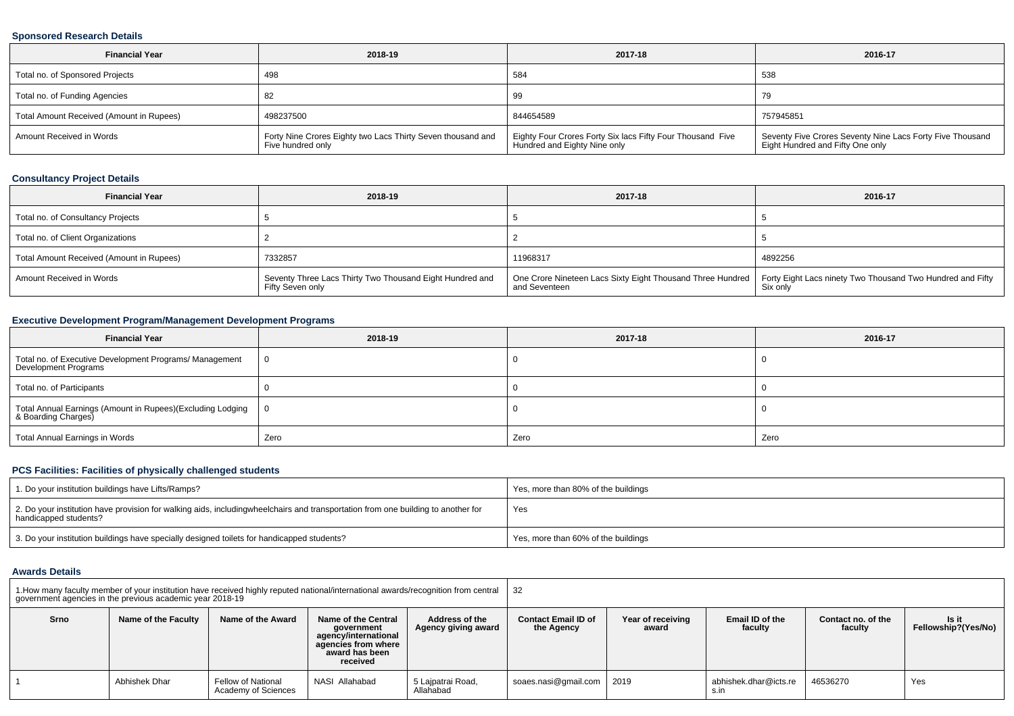# **Sponsored Research Details**

| <b>Financial Year</b>                    | 2018-19                                                                          | 2017-18                                                                                    | 2016-17                                                                                       |
|------------------------------------------|----------------------------------------------------------------------------------|--------------------------------------------------------------------------------------------|-----------------------------------------------------------------------------------------------|
| Total no. of Sponsored Projects          | 498                                                                              | 584                                                                                        | 538                                                                                           |
| Total no. of Funding Agencies            | -82                                                                              | 99                                                                                         | 79                                                                                            |
| Total Amount Received (Amount in Rupees) | 498237500                                                                        | 844654589                                                                                  | 757945851                                                                                     |
| Amount Received in Words                 | Forty Nine Crores Eighty two Lacs Thirty Seven thousand and<br>Five hundred only | Eighty Four Crores Forty Six lacs Fifty Four Thousand Five<br>Hundred and Eighty Nine only | Seventy Five Crores Seventy Nine Lacs Forty Five Thousand<br>Eight Hundred and Fifty One only |

# **Consultancy Project Details**

| <b>Financial Year</b>                    | 2018-19                                                                      | 2017-18                                                                                                                                | 2016-17 |
|------------------------------------------|------------------------------------------------------------------------------|----------------------------------------------------------------------------------------------------------------------------------------|---------|
| Total no. of Consultancy Projects        |                                                                              |                                                                                                                                        |         |
| Total no. of Client Organizations        |                                                                              |                                                                                                                                        |         |
| Total Amount Received (Amount in Rupees) | 7332857                                                                      | 11968317                                                                                                                               | 4892256 |
| Amount Received in Words                 | Seventy Three Lacs Thirty Two Thousand Eight Hundred and<br>Fifty Seven only | One Crore Nineteen Lacs Sixty Eight Thousand Three Hundred Forty Eight Lacs ninety Two Thousand Two Hundred and Fifty<br>and Seventeen |         |

# **Executive Development Program/Management Development Programs**

| <b>Financial Year</b>                                                             | 2018-19 | 2017-18 | 2016-17 |
|-----------------------------------------------------------------------------------|---------|---------|---------|
| Total no. of Executive Development Programs/ Management<br>Development Programs   | - ( )   |         |         |
| Total no. of Participants                                                         |         |         |         |
| Total Annual Earnings (Amount in Rupees)(Excluding Lodging<br>& Boarding Charges) |         |         |         |
| Total Annual Earnings in Words                                                    | Zero    | Zero    | Zero    |

# **PCS Facilities: Facilities of physically challenged students**

| 1. Do your institution buildings have Lifts/Ramps?                                                                                                        | Yes, more than 80% of the buildings |
|-----------------------------------------------------------------------------------------------------------------------------------------------------------|-------------------------------------|
| 2. Do your institution have provision for walking aids, includingwheelchairs and transportation from one building to another for<br>handicapped students? | Yes                                 |
| 3. Do your institution buildings have specially designed toilets for handicapped students?                                                                | Yes, more than 60% of the buildings |

#### **Awards Details**

|      | government agencies in the previous academic year 2018-19 |                                                                                                                                     | 1. How many faculty member of your institution have received highly reputed national/international awards/recognition from central |                                       | 32                                                                                                                                    |      |                               |          |                              |  |  |
|------|-----------------------------------------------------------|-------------------------------------------------------------------------------------------------------------------------------------|------------------------------------------------------------------------------------------------------------------------------------|---------------------------------------|---------------------------------------------------------------------------------------------------------------------------------------|------|-------------------------------|----------|------------------------------|--|--|
| Srno | Name of the Faculty                                       | Name of the Award<br>Name of the Central<br>qovernment<br>agency/international<br>agencies from where<br>award has been<br>received |                                                                                                                                    | Address of the<br>Agency giving award | <b>Contact Email ID of</b><br>Year of receiving<br>Email ID of the<br>Contact no, of the<br>the Agency<br>faculty<br>faculty<br>award |      |                               |          | Is it<br>Fellowship?(Yes/No) |  |  |
|      | Abhishek Dhar                                             | Fellow of National<br>Academy of Sciences                                                                                           | NASI Allahabad                                                                                                                     | 5 Laipatrai Road,<br>Allahabad        | soaes.nasi@gmail.com                                                                                                                  | 2019 | abhishek.dhar@icts.re<br>s.in | 46536270 | Yes                          |  |  |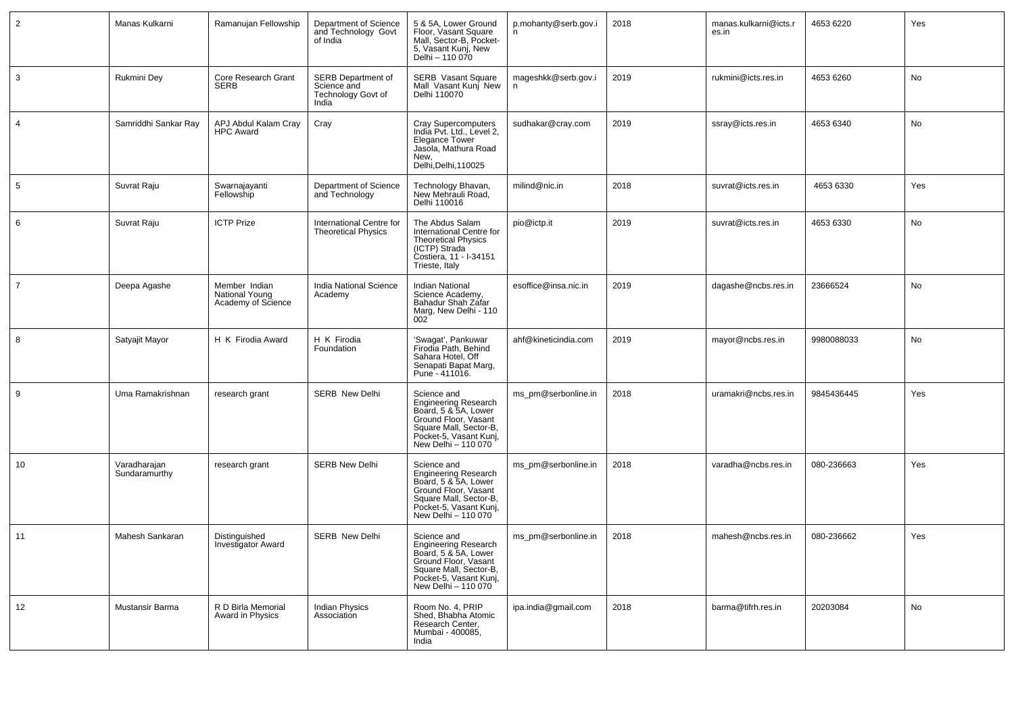| $\overline{2}$  | Manas Kulkarni                | Ramanujan Fellowship                                  | Department of Science<br>and Technology Govt<br>of India                | 5 & 5A, Lower Ground<br>Floor, Vasant Square<br>Mall, Sector-B, Pocket-<br>5, Vasant Kunj, New<br>Delhi – 110 070                                                     | p.mohanty@serb.gov.i<br>n. | 2018 | manas.kulkarni@icts.r<br>es.in | 4653 6220  | Yes |
|-----------------|-------------------------------|-------------------------------------------------------|-------------------------------------------------------------------------|-----------------------------------------------------------------------------------------------------------------------------------------------------------------------|----------------------------|------|--------------------------------|------------|-----|
| $\mathbf{3}$    | Rukmini Dey                   | Core Research Grant<br><b>SERB</b>                    | <b>SERB Department of</b><br>Science and<br>Technology Govt of<br>India | <b>SERB Vasant Square</b><br>Mall Vasant Kunj New<br>Delhi 110070                                                                                                     | mageshkk@serb.gov.i<br>n   | 2019 | rukmini@icts.res.in            | 4653 6260  | No  |
| $\overline{4}$  | Samriddhi Sankar Ray          | APJ Abdul Kalam Cray<br><b>HPC Award</b>              | Cray                                                                    | Cray Supercomputers<br>India Pvt. Ltd., Level 2,<br>Elegance Tower<br>Jasola, Mathura Road<br>New,<br>Delhi, Delhi, 110025                                            | sudhakar@cray.com          | 2019 | ssray@icts.res.in              | 4653 6340  | No  |
| $5\phantom{.0}$ | Suvrat Raju                   | Swarnajayanti<br>Fellowship                           | Department of Science<br>and Technology                                 | Technology Bhavan,<br>New Mehrauli Road,<br>Delhi 110016                                                                                                              | milind@nic.in              | 2018 | suvrat@icts.res.in             | 4653 6330  | Yes |
| 6               | Suvrat Raju                   | <b>ICTP Prize</b>                                     | International Centre for<br><b>Theoretical Physics</b>                  | The Abdus Salam<br>International Centre for<br><b>Theoretical Physics</b><br>(ICTP) Strada<br>Costiera, 11 - I-34151<br>Trieste, Italy                                | pio@ictp.it                | 2019 | suvrat@icts.res.in             | 4653 6330  | No  |
| $\overline{7}$  | Deepa Agashe                  | Member Indian<br>National Young<br>Academy of Science | India National Science<br>Academy                                       | Indian National<br>Science Academy,<br>Bahadur Shah Zafar<br>Marg, New Delhi - 110<br>002                                                                             | esoffice@insa.nic.in       | 2019 | dagashe@ncbs.res.in            | 23666524   | No  |
| 8               | Satyajit Mayor                | H K Firodia Award                                     | H K Firodia<br>Foundation                                               | 'Swagat', Pankuwar<br>Firodia Path, Behind<br>Sahara Hotel, Off<br>Senapati Bapat Marg,<br>Pune - 411016.                                                             | ahf@kineticindia.com       | 2019 | mayor@ncbs.res.in              | 9980088033 | No  |
| 9               | Uma Ramakrishnan              | research grant                                        | <b>SERB New Delhi</b>                                                   | Science and<br><b>Engineering Research</b><br>Board, 5 & 5A, Lower<br>Ground Floor, Vasant<br>Square Mall, Sector-B,<br>Pocket-5, Vasant Kunj,<br>New Delhi - 110 070 | ms_pm@serbonline.in        | 2018 | uramakri@ncbs.res.in           | 9845436445 | Yes |
| 10              | Varadharajan<br>Sundaramurthy | research grant                                        | <b>SERB New Delhi</b>                                                   | Science and<br>Engineering Research<br>Board, 5 & 5A, Lower<br>Ground Floor, Vasant<br>Square Mall, Sector-B,<br>Pocket-5, Vasant Kunj,<br>New Delhi - 110 070        | ms_pm@serbonline.in        | 2018 | varadha@ncbs.res.in            | 080-236663 | Yes |
| 11              | Mahesh Sankaran               | Distinguished<br><b>Investigator Award</b>            | <b>SERB New Delhi</b>                                                   | Science and<br><b>Engineering Research</b><br>Board, 5 & 5A, Lower<br>Ground Floor, Vasant<br>Square Mall, Sector-B,<br>Pocket-5, Vasant Kunj,<br>New Delhi - 110 070 | ms_pm@serbonline.in        | 2018 | mahesh@ncbs.res.in             | 080-236662 | Yes |
| 12              | Mustansir Barma               | R D Birla Memorial<br>Award in Physics                | <b>Indian Physics</b><br>Association                                    | Room No. 4, PRIP<br>Shed. Bhabha Atomic<br>Research Center,<br>Mumbai - 400085,<br>India                                                                              | ipa.india@gmail.com        | 2018 | barma@tifrh.res.in             | 20203084   | No  |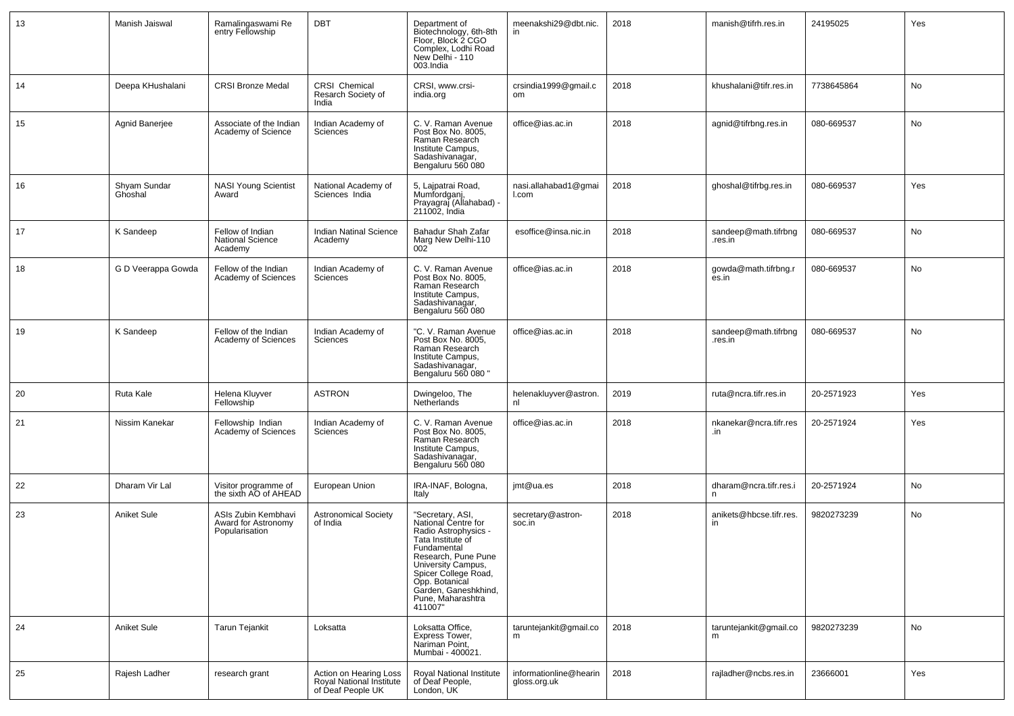| 13 | Manish Jaiswal          | Ramalingaswami Re<br>entry Fellowship                        | DBT                                                                     | Department of<br>Biotechnology, 6th-8th<br>Floor, Block 2 CGO<br>Complex, Lodhi Road<br>New Delhi - 110<br>003.India                                                                                                                               | meenakshi29@dbt.nic.                   | 2018 | manish@tifrh.res.in             | 24195025   | Yes |
|----|-------------------------|--------------------------------------------------------------|-------------------------------------------------------------------------|----------------------------------------------------------------------------------------------------------------------------------------------------------------------------------------------------------------------------------------------------|----------------------------------------|------|---------------------------------|------------|-----|
| 14 | Deepa KHushalani        | <b>CRSI Bronze Medal</b>                                     | CRSI Chemical<br>Resarch Society of<br>India                            | CRSI, www.crsi-<br>india.org                                                                                                                                                                                                                       | crsindia1999@gmail.c<br>om             | 2018 | khushalani@tifr.res.in          | 7738645864 | No  |
| 15 | Agnid Banerjee          | Associate of the Indian<br>Academy of Science                | Indian Academy of<br>Sciences                                           | C. V. Raman Avenue<br>Post Box No. 8005,<br>Raman Research<br>Institute Campus.<br>Sadashivanagar,<br>Bengaluru 560 080                                                                                                                            | office@ias.ac.in                       | 2018 | agnid@tifrbng.res.in            | 080-669537 | No  |
| 16 | Shvam Sundar<br>Ghoshal | <b>NASI Young Scientist</b><br>Award                         | National Academy of<br>Sciences India                                   | 5, Lajpatrai Road,<br>Mumfordganj,<br>Prayagraj (Allahabad) -<br>211002, India                                                                                                                                                                     | nasi.allahabad1@gmai<br>l.com          | 2018 | ghoshal@tifrbg.res.in           | 080-669537 | Yes |
| 17 | K Sandeep               | Fellow of Indian<br><b>National Science</b><br>Academy       | <b>Indian Natinal Science</b><br>Academy                                | Bahadur Shah Zafar<br>Marg New Delhi-110<br>002                                                                                                                                                                                                    | esoffice@insa.nic.in                   | 2018 | sandeep@math.tifrbng<br>.res.in | 080-669537 | No  |
| 18 | G D Veerappa Gowda      | Fellow of the Indian<br>Academy of Sciences                  | Indian Academy of<br>Sciences                                           | C. V. Raman Avenue<br>Post Box No. 8005,<br>Raman Research<br>Institute Campus,<br>Sadashivanagar,<br>Bengaluru 560 080                                                                                                                            | office@ias.ac.in                       | 2018 | gowda@math.tifrbng.r<br>es.in   | 080-669537 | No  |
| 19 | K Sandeep               | Fellow of the Indian<br>Academy of Sciences                  | Indian Academy of<br>Sciences                                           | "C. V. Raman Avenue<br>Post Box No. 8005,<br>Raman Research<br>Institute Campus,<br>Sadashivanagar,<br>Bengaluru 560 080 "                                                                                                                         | office@ias.ac.in                       | 2018 | sandeep@math.tifrbng<br>.res.in | 080-669537 | No  |
| 20 | Ruta Kale               | Helena Kluyver<br>Fellowship                                 | <b>ASTRON</b>                                                           | Dwingeloo, The<br>Netherlands                                                                                                                                                                                                                      | helenakluyver@astron.<br>nl            | 2019 | ruta@ncra.tifr.res.in           | 20-2571923 | Yes |
| 21 | Nissim Kanekar          | Fellowship Indian<br>Academy of Sciences                     | Indian Academy of<br>Sciences                                           | C. V. Raman Avenue<br>Post Box No. 8005,<br>Raman Research<br>Institute Campus,<br>Sadashivanagar,<br>Bengaluru 560 080                                                                                                                            | office@ias.ac.in                       | 2018 | nkanekar@ncra.tifr.res<br>.in   | 20-2571924 | Yes |
| 22 | Dharam Vir Lal          | Visitor programme of<br>the sixth AO of AHEAD                | European Union                                                          | IRA-INAF, Bologna,<br>Italy                                                                                                                                                                                                                        | imt@ua.es                              | 2018 | dharam@ncra.tifr.res.i<br>n     | 20-2571924 | No  |
| 23 | Aniket Sule             | ASIs Zubin Kembhavi<br>Award for Astronomy<br>Popularisation | <b>Astronomical Society</b><br>of India                                 | "Secretary, ASI,<br>National Centre for<br>Radio Astrophysics -<br>Tata Institute of<br>Fundamental<br>Research, Pune Pune<br>University Campus,<br>Spicer College Road,<br>Opp. Botanical<br>Garden, Ganeshkhind,<br>Pune, Maharashtra<br>411007" | secretary@astron-<br>soc.in            | 2018 | anikets@hbcse.tifr.res.<br>in   | 9820273239 | No  |
| 24 | Aniket Sule             | <b>Tarun Tejankit</b>                                        | Loksatta                                                                | Loksatta Office,<br>Express Tower,<br>Nariman Point,<br>Mumbai - 400021.                                                                                                                                                                           | taruntejankit@gmail.co<br>m            | 2018 | taruntejankit@gmail.co<br>m     | 9820273239 | No  |
| 25 | Rajesh Ladher           | research grant                                               | Action on Hearing Loss<br>Royal National Institute<br>of Deaf People UK | Roval National Institute<br>of Deaf People,<br>London, UK                                                                                                                                                                                          | informationline@hearin<br>gloss.org.uk | 2018 | rajladher@ncbs.res.in           | 23666001   | Yes |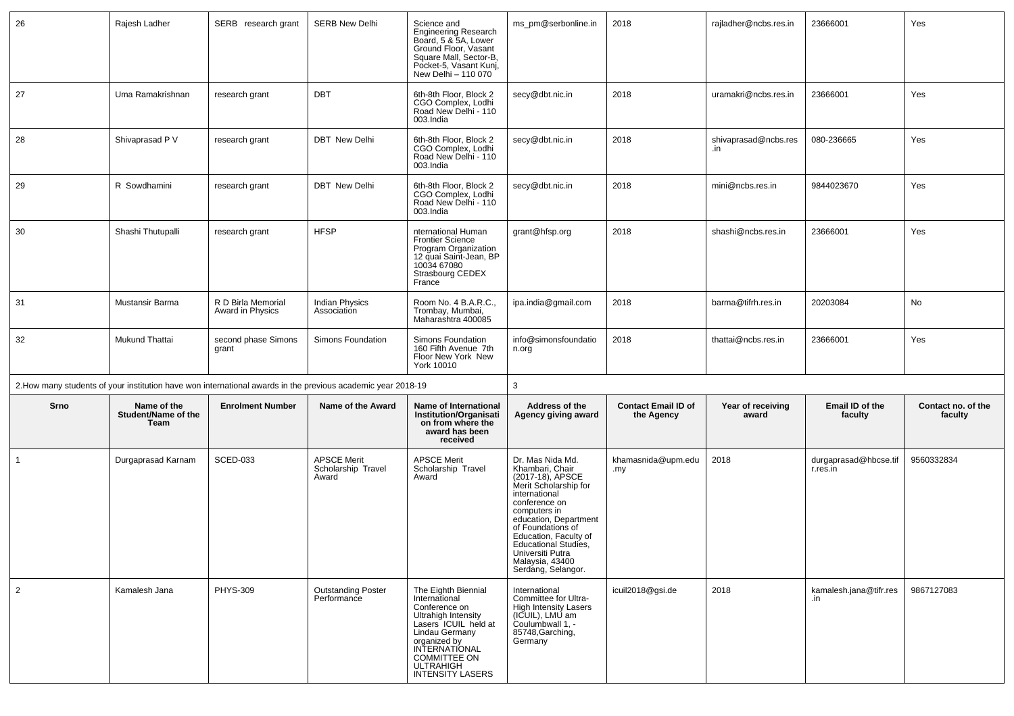| 26           | Rajesh Ladher                                                                                                | SERB research grant                    | <b>SERB New Delhi</b>                             | Science and<br><b>Engineering Research</b><br>Board, 5 & 5A, Lower<br>Ground Floor, Vasant<br>Square Mall, Sector-B,<br>Pocket-5, Vasant Kunj,<br>New Delhi - 110 070 | ms pm@serbonline.in                                                                                                                                                                                                                                                                            | 2018                                     | rajladher@ncbs.res.in       | 23666001                          | Yes                           |
|--------------|--------------------------------------------------------------------------------------------------------------|----------------------------------------|---------------------------------------------------|-----------------------------------------------------------------------------------------------------------------------------------------------------------------------|------------------------------------------------------------------------------------------------------------------------------------------------------------------------------------------------------------------------------------------------------------------------------------------------|------------------------------------------|-----------------------------|-----------------------------------|-------------------------------|
| 27           | Uma Ramakrishnan                                                                                             | research grant                         | <b>DBT</b>                                        | 6th-8th Floor, Block 2<br>CGO Complex, Lodhi<br>Road New Delhi - 110<br>003.India                                                                                     | secy@dbt.nic.in                                                                                                                                                                                                                                                                                | 2018                                     | uramakri@ncbs.res.in        | 23666001                          | Yes                           |
| 28           | Shivaprasad P V                                                                                              | research grant                         | <b>DBT</b> New Delhi                              | 6th-8th Floor, Block 2<br>CGO Complex, Lodhi<br>Road New Delhi - 110<br>003.India                                                                                     | secy@dbt.nic.in                                                                                                                                                                                                                                                                                | 2018                                     | shivaprasad@ncbs.res<br>.in | 080-236665                        | Yes                           |
| 29           | R Sowdhamini                                                                                                 | research grant                         | <b>DBT</b> New Delhi                              | 6th-8th Floor, Block 2<br>CGO Complex, Lodhi<br>Road New Delhi - 110<br>003.India                                                                                     | secy@dbt.nic.in                                                                                                                                                                                                                                                                                | 2018                                     | mini@ncbs.res.in            | 9844023670                        | Yes                           |
| 30           | Shashi Thutupalli                                                                                            | research grant                         | <b>HFSP</b>                                       | nternational Human<br><b>Frontier Science</b><br>Program Organization<br>12 quai Saint-Jean, BP<br>10034 67080<br>Strasbourg CEDEX<br>France                          | grant@hfsp.org                                                                                                                                                                                                                                                                                 | 2018                                     | shashi@ncbs.res.in          | 23666001                          | Yes                           |
| 31           | Mustansir Barma                                                                                              | R D Birla Memorial<br>Award in Physics | Indian Physics<br>Association                     | Room No. 4 B.A.R.C.,<br>Trombay, Mumbai,<br>Maharashtra 400085                                                                                                        | ipa.india@gmail.com                                                                                                                                                                                                                                                                            | 2018                                     | barma@tifrh.res.in          | 20203084                          | No                            |
| 32           | Mukund Thattai                                                                                               | second phase Simons<br>grant           | Simons Foundation                                 | Simons Foundation<br>160 Fifth Avenue 7th                                                                                                                             | info@simonsfoundatio<br>n.org                                                                                                                                                                                                                                                                  | 2018                                     | thattai@ncbs.res.in         | 23666001                          | Yes                           |
|              |                                                                                                              |                                        |                                                   | Floor New York New<br>York 10010                                                                                                                                      |                                                                                                                                                                                                                                                                                                |                                          |                             |                                   |                               |
|              | 2. How many students of your institution have won international awards in the previous academic year 2018-19 |                                        |                                                   |                                                                                                                                                                       | 3                                                                                                                                                                                                                                                                                              |                                          |                             |                                   |                               |
| Srno         | Name of the<br>Student/Name of the<br>Team                                                                   | <b>Enrolment Number</b>                | Name of the Award                                 | Name of International<br>Institution/Organisati<br>on from where the<br>award has been<br>received                                                                    | Address of the<br>Agency giving award                                                                                                                                                                                                                                                          | <b>Contact Email ID of</b><br>the Agency | Year of receiving<br>award  | Email ID of the<br>faculty        | Contact no. of the<br>faculty |
| $\mathbf{1}$ | Durgaprasad Karnam                                                                                           | <b>SCED-033</b>                        | <b>APSCE Merit</b><br>Scholarship Travel<br>Award | <b>APSCE Merit</b><br>Scholarship Travel<br>Award                                                                                                                     | Dr. Mas Nida Md.<br>Khambari, Chair<br>(2017-18), APSCE<br>Merit Scholarship for<br>international<br>conference on<br>computers in<br>education, Department<br>of Foundations of<br>Education, Faculty of<br>Educational Studies,<br>Universiti Putra<br>Malaysia, 43400<br>Serdang, Selangor. | khamasnida@upm.edu<br>.my                | 2018                        | durgaprasad@hbcse.tif<br>r.res.in | 9560332834                    |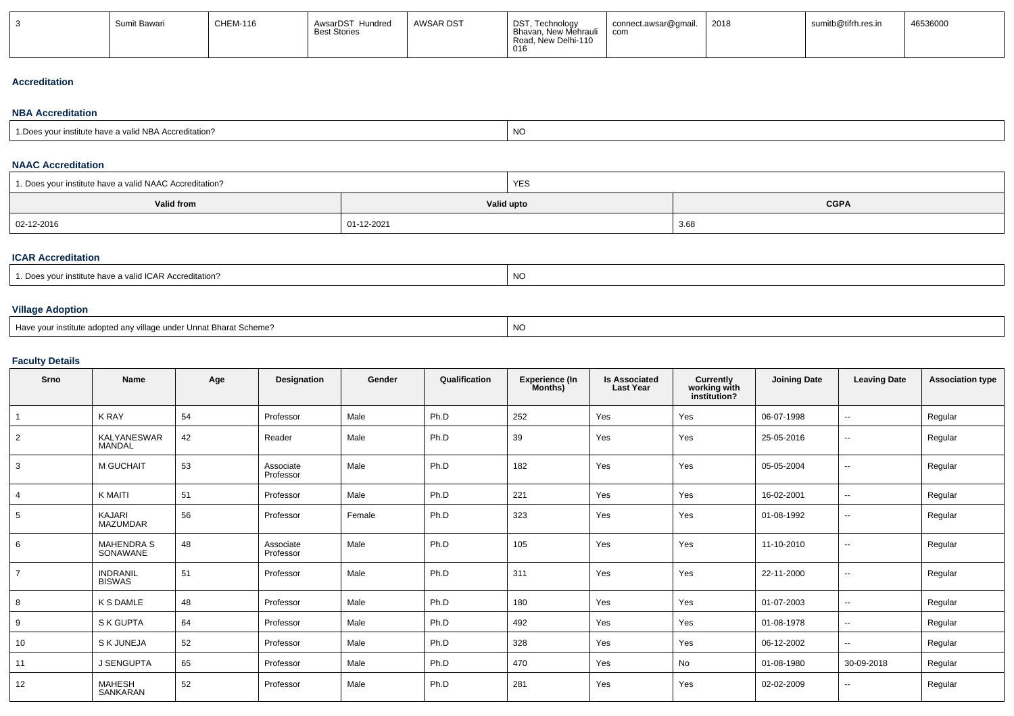| Sumit Bawari | <b>CHEM-116</b> | AwsarDST Hundred<br><b>Best Stories</b> | <b>AWSAR DST</b> | DST, Technology<br>Bhavan, New Mehrauli<br>Road, New Delhi-110<br>016 | connect.awsar@gmail.<br>com | 2018 | sumitb@tifrh.res.in | 46536000 |
|--------------|-----------------|-----------------------------------------|------------------|-----------------------------------------------------------------------|-----------------------------|------|---------------------|----------|
|              |                 |                                         |                  |                                                                       |                             |      |                     |          |

#### **Accreditation**

# **NBA Accreditation**

| ้ำ NBA<br>editation<br>$\sim$ Attual | N<br>.<br>. |
|--------------------------------------|-------------|
|--------------------------------------|-------------|

# **NAAC Accreditation**

| 1. Does your institute have a valid NAAC Accreditation? |            | YES        |             |  |  |  |
|---------------------------------------------------------|------------|------------|-------------|--|--|--|
| Valid from                                              |            | Valid upto | <b>CGPA</b> |  |  |  |
| 02-12-2016                                              | 01-12-2021 |            | 3.68        |  |  |  |

# **ICAR Accreditation**

| $\cdot$ $\cdot$ $\sim$ $\cdot$<br>a valid ICAR Accreditation?<br>∵ institute have a . | NC |
|---------------------------------------------------------------------------------------|----|
|---------------------------------------------------------------------------------------|----|

# **Village Adoption**

| Have your institute adopted any village under Unnat Bharat Scheme? | NO |
|--------------------------------------------------------------------|----|
|                                                                    |    |

# **Faculty Details**

| Srno           | <b>Name</b>                      | Age | Designation            | Gender | Qualification | <b>Experience (In</b><br>Months) | <b>Is Associated</b><br><b>Last Year</b> | Currently<br>working with<br>institution? | <b>Joining Date</b> | <b>Leaving Date</b>      | <b>Association type</b> |
|----------------|----------------------------------|-----|------------------------|--------|---------------|----------------------------------|------------------------------------------|-------------------------------------------|---------------------|--------------------------|-------------------------|
|                | <b>K RAY</b>                     | 54  | Professor              | Male   | Ph.D          | 252                              | Yes                                      | Yes                                       | 06-07-1998          | $\overline{\phantom{a}}$ | Regular                 |
| $\overline{2}$ | KALYANESWAR<br><b>MANDAL</b>     | 42  | Reader                 | Male   | Ph.D          | 39                               | Yes                                      | Yes                                       | 25-05-2016          | $\overline{\phantom{a}}$ | Regular                 |
| 3              | <b>M GUCHAIT</b>                 | 53  | Associate<br>Professor | Male   | Ph.D          | 182                              | Yes                                      | Yes                                       | 05-05-2004          | $\overline{\phantom{a}}$ | Regular                 |
| $\overline{4}$ | K MAITI                          | 51  | Professor              | Male   | Ph.D          | 221                              | Yes                                      | Yes                                       | 16-02-2001          | $\overline{\phantom{a}}$ | Regular                 |
| 5              | <b>KAJARI</b><br><b>MAZUMDAR</b> | 56  | Professor              | Female | Ph.D          | 323                              | Yes                                      | Yes                                       | 01-08-1992          | $\overline{\phantom{a}}$ | Regular                 |
| 6              | <b>MAHENDRA S</b><br>SONAWANE    | 48  | Associate<br>Professor | Male   | Ph.D          | 105                              | Yes                                      | Yes                                       | 11-10-2010          | $\overline{\phantom{a}}$ | Regular                 |
|                | INDRANIL<br>BISWAS               | 51  | Professor              | Male   | Ph.D          | 311                              | Yes                                      | Yes                                       | 22-11-2000          | $\overline{\phantom{a}}$ | Regular                 |
| 8              | K S DAMLE                        | 48  | Professor              | Male   | Ph.D          | 180                              | Yes                                      | Yes                                       | 01-07-2003          | $\overline{\phantom{a}}$ | Regular                 |
| 9              | S K GUPTA                        | 64  | Professor              | Male   | Ph.D          | 492                              | Yes                                      | Yes                                       | 01-08-1978          | $\sim$                   | Regular                 |
| 10             | S K JUNEJA                       | 52  | Professor              | Male   | Ph.D          | 328                              | Yes                                      | Yes                                       | 06-12-2002          | $\overline{\phantom{a}}$ | Regular                 |
| 11             | J SENGUPTA                       | 65  | Professor              | Male   | Ph.D          | 470                              | Yes                                      | No                                        | 01-08-1980          | 30-09-2018               | Regular                 |
| 12             | MAHESH<br>SANKARAN               | 52  | Professor              | Male   | Ph.D          | 281                              | Yes                                      | Yes                                       | 02-02-2009          | $\overline{\phantom{a}}$ | Regular                 |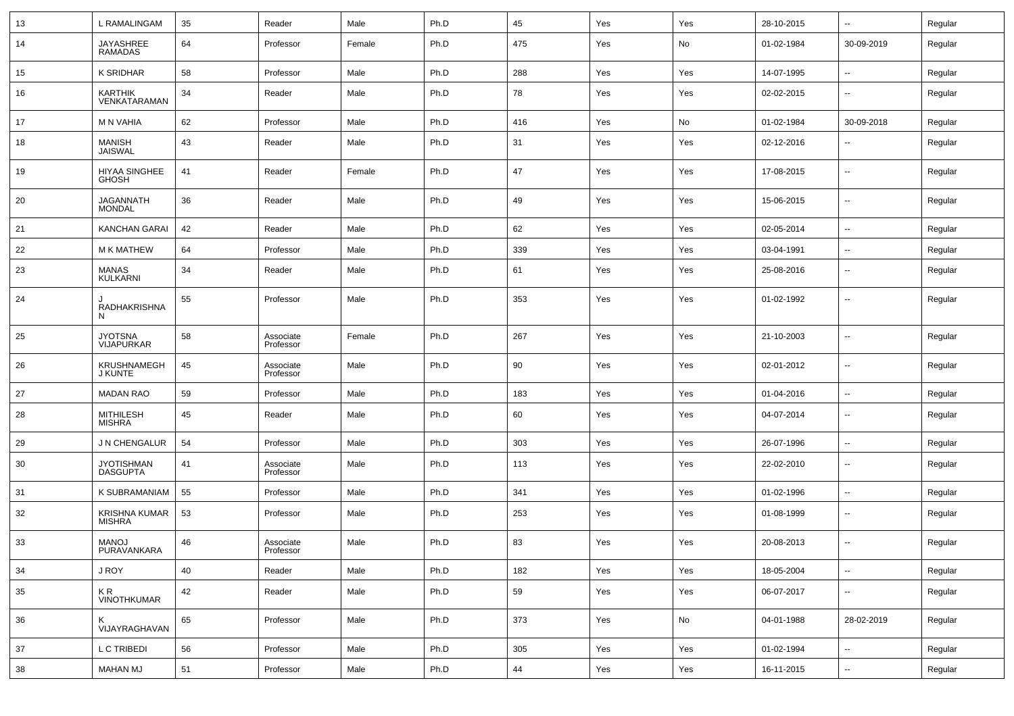| 13  | L RAMALINGAM                          | 35 | Reader                 | Male   | Ph.D | 45  | Yes | Yes | 28-10-2015 | $\overline{\phantom{a}}$ | Regular |
|-----|---------------------------------------|----|------------------------|--------|------|-----|-----|-----|------------|--------------------------|---------|
| 14  | <b>JAYASHREE</b><br><b>RAMADAS</b>    | 64 | Professor              | Female | Ph.D | 475 | Yes | No  | 01-02-1984 | 30-09-2019               | Regular |
| 15  | K SRIDHAR                             | 58 | Professor              | Male   | Ph.D | 288 | Yes | Yes | 14-07-1995 | $\sim$                   | Regular |
| 16  | <b>KARTHIK</b><br>VENKATARAMAN        | 34 | Reader                 | Male   | Ph.D | 78  | Yes | Yes | 02-02-2015 | $\overline{\phantom{a}}$ | Regular |
| 17  | M N VAHIA                             | 62 | Professor              | Male   | Ph.D | 416 | Yes | No  | 01-02-1984 | 30-09-2018               | Regular |
| 18  | MANISH<br><b>JAISWAL</b>              | 43 | Reader                 | Male   | Ph.D | 31  | Yes | Yes | 02-12-2016 | $\overline{\phantom{a}}$ | Regular |
| 19  | HIYAA SINGHEE<br><b>GHOSH</b>         | 41 | Reader                 | Female | Ph.D | 47  | Yes | Yes | 17-08-2015 | $\overline{\phantom{a}}$ | Regular |
| 20  | <b>JAGANNATH</b><br><b>MONDAL</b>     | 36 | Reader                 | Male   | Ph.D | 49  | Yes | Yes | 15-06-2015 | $\overline{\phantom{a}}$ | Regular |
| 21  | <b>KANCHAN GARAI</b>                  | 42 | Reader                 | Male   | Ph.D | 62  | Yes | Yes | 02-05-2014 | $\overline{\phantom{a}}$ | Regular |
| 22  | <b>M K MATHEW</b>                     | 64 | Professor              | Male   | Ph.D | 339 | Yes | Yes | 03-04-1991 | $\sim$                   | Regular |
| 23  | <b>MANAS</b><br>KULKARNI              | 34 | Reader                 | Male   | Ph.D | 61  | Yes | Yes | 25-08-2016 | $\overline{\phantom{a}}$ | Regular |
| 24  | RADHAKRISHNA<br>N                     | 55 | Professor              | Male   | Ph.D | 353 | Yes | Yes | 01-02-1992 | $\overline{\phantom{a}}$ | Regular |
| 25  | <b>JYOTSNA</b><br><b>VIJAPURKAR</b>   | 58 | Associate<br>Professor | Female | Ph.D | 267 | Yes | Yes | 21-10-2003 | $\overline{\phantom{a}}$ | Regular |
| 26  | <b>KRUSHNAMEGH</b><br>J KUNTE         | 45 | Associate<br>Professor | Male   | Ph.D | 90  | Yes | Yes | 02-01-2012 | $\overline{\phantom{a}}$ | Regular |
| 27  | <b>MADAN RAO</b>                      | 59 | Professor              | Male   | Ph.D | 183 | Yes | Yes | 01-04-2016 | $\sim$                   | Regular |
| -28 | MITHILESH<br>MISHRA                   | 45 | Reader                 | Male   | Ph.D | 60  | Yes | Yes | 04-07-2014 | $\overline{\phantom{a}}$ | Regular |
| 29  | J N CHENGALUR                         | 54 | Professor              | Male   | Ph.D | 303 | Yes | Yes | 26-07-1996 | $\overline{\phantom{a}}$ | Regular |
| 30  | <b>JYOTISHMAN</b><br><b>DASGUPTA</b>  | 41 | Associate<br>Professor | Male   | Ph.D | 113 | Yes | Yes | 22-02-2010 | $\overline{\phantom{a}}$ | Regular |
| 31  | K SUBRAMANIAM                         | 55 | Professor              | Male   | Ph.D | 341 | Yes | Yes | 01-02-1996 | $\overline{\phantom{a}}$ | Regular |
| 32  | <b>KRISHNA KUMAR</b><br><b>MISHRA</b> | 53 | Professor              | Male   | Ph.D | 253 | Yes | Yes | 01-08-1999 | $\overline{\phantom{a}}$ | Regular |
| 33  | MANOJ<br>PURAVANKARA                  | 46 | Associate<br>Professor | Male   | Ph.D | 83  | Yes | Yes | 20-08-2013 | $\sim$                   | Regular |
| 34  | J ROY                                 | 40 | Reader                 | Male   | Ph.D | 182 | Yes | Yes | 18-05-2004 | $\overline{\phantom{a}}$ | Regular |
| 35  | K R<br>VINOTHKUMAR                    | 42 | Reader                 | Male   | Ph.D | 59  | Yes | Yes | 06-07-2017 | $\overline{\phantom{a}}$ | Regular |
| 36  | K<br>VIJAYRAGHAVAN                    | 65 | Professor              | Male   | Ph.D | 373 | Yes | No  | 04-01-1988 | 28-02-2019               | Regular |
| 37  | L C TRIBEDI                           | 56 | Professor              | Male   | Ph.D | 305 | Yes | Yes | 01-02-1994 | $\overline{\phantom{a}}$ | Regular |
| 38  | <b>MAHAN MJ</b>                       | 51 | Professor              | Male   | Ph.D | 44  | Yes | Yes | 16-11-2015 | $\overline{\phantom{a}}$ | Regular |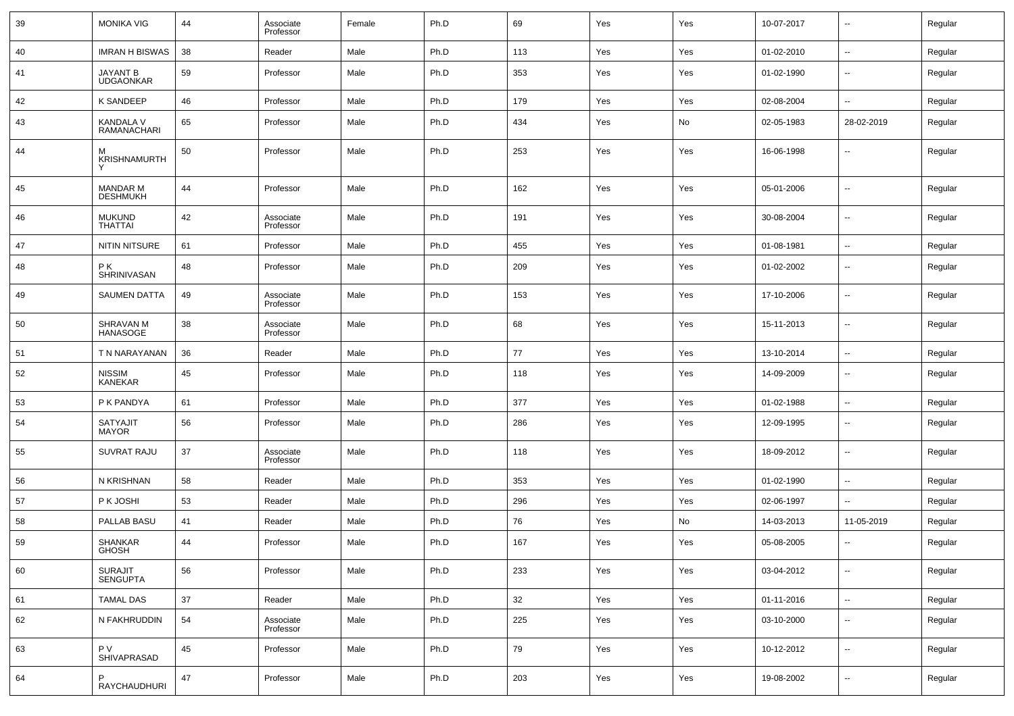| 39 | <b>MONIKA VIG</b>            | 44 | Associate<br>Professor | Female | Ph.D | 69  | Yes | Yes | 10-07-2017 | $\overline{\phantom{a}}$ | Regular |
|----|------------------------------|----|------------------------|--------|------|-----|-----|-----|------------|--------------------------|---------|
| 40 | <b>IMRAN H BISWAS</b>        | 38 | Reader                 | Male   | Ph.D | 113 | Yes | Yes | 01-02-2010 | $\ddotsc$                | Regular |
| 41 | JAYANT B<br><b>UDGAONKAR</b> | 59 | Professor              | Male   | Ph.D | 353 | Yes | Yes | 01-02-1990 | $\overline{\phantom{a}}$ | Regular |
| 42 | <b>K SANDEEP</b>             | 46 | Professor              | Male   | Ph.D | 179 | Yes | Yes | 02-08-2004 | $\overline{\phantom{a}}$ | Regular |
| 43 | KANDALA V<br>RAMANACHARI     | 65 | Professor              | Male   | Ph.D | 434 | Yes | No  | 02-05-1983 | 28-02-2019               | Regular |
| 44 | м<br>KRISHNAMURTH            | 50 | Professor              | Male   | Ph.D | 253 | Yes | Yes | 16-06-1998 | $\overline{\phantom{a}}$ | Regular |
| 45 | MANDAR M<br><b>DESHMUKH</b>  | 44 | Professor              | Male   | Ph.D | 162 | Yes | Yes | 05-01-2006 | --                       | Regular |
| 46 | <b>MUKUND</b><br>THATTAI     | 42 | Associate<br>Professor | Male   | Ph.D | 191 | Yes | Yes | 30-08-2004 | $\overline{\phantom{a}}$ | Regular |
| 47 | <b>NITIN NITSURE</b>         | 61 | Professor              | Male   | Ph.D | 455 | Yes | Yes | 01-08-1981 | ۰.                       | Regular |
| 48 | PK.<br>SHRINIVASAN           | 48 | Professor              | Male   | Ph.D | 209 | Yes | Yes | 01-02-2002 | $\overline{\phantom{a}}$ | Regular |
| 49 | <b>SAUMEN DATTA</b>          | 49 | Associate<br>Professor | Male   | Ph.D | 153 | Yes | Yes | 17-10-2006 | $\overline{\phantom{a}}$ | Regular |
| 50 | SHRAVAN M<br>HANASOGE        | 38 | Associate<br>Professor | Male   | Ph.D | 68  | Yes | Yes | 15-11-2013 | $\overline{\phantom{a}}$ | Regular |
| 51 | T N NARAYANAN                | 36 | Reader                 | Male   | Ph.D | 77  | Yes | Yes | 13-10-2014 | $\overline{\phantom{a}}$ | Regular |
| 52 | <b>NISSIM</b><br>KANEKAR     | 45 | Professor              | Male   | Ph.D | 118 | Yes | Yes | 14-09-2009 | $\overline{\phantom{a}}$ | Regular |
| 53 | P K PANDYA                   | 61 | Professor              | Male   | Ph.D | 377 | Yes | Yes | 01-02-1988 | $\sim$                   | Regular |
| 54 | SATYAJIT<br><b>MAYOR</b>     | 56 | Professor              | Male   | Ph.D | 286 | Yes | Yes | 12-09-1995 | $\overline{\phantom{a}}$ | Regular |
| 55 | <b>SUVRAT RAJU</b>           | 37 | Associate<br>Professor | Male   | Ph.D | 118 | Yes | Yes | 18-09-2012 | $\overline{\phantom{a}}$ | Regular |
| 56 | N KRISHNAN                   | 58 | Reader                 | Male   | Ph.D | 353 | Yes | Yes | 01-02-1990 | $\overline{\phantom{a}}$ | Regular |
| 57 | P K JOSHI                    | 53 | Reader                 | Male   | Ph.D | 296 | Yes | Yes | 02-06-1997 | $\overline{\phantom{a}}$ | Regular |
| 58 | PALLAB BASU                  | 41 | Reader                 | Male   | Ph.D | 76  | Yes | No  | 14-03-2013 | 11-05-2019               | Regular |
| 59 | SHANKAR<br>GHOSH             | 44 | Professor              | Male   | Ph.D | 167 | Yes | Yes | 05-08-2005 | $\overline{\phantom{a}}$ | Regular |
| 60 | SURAJIT<br>SENGUPTA          | 56 | Professor              | Male   | Ph.D | 233 | Yes | Yes | 03-04-2012 | $\overline{\phantom{a}}$ | Regular |
| 61 | <b>TAMAL DAS</b>             | 37 | Reader                 | Male   | Ph.D | 32  | Yes | Yes | 01-11-2016 | $\overline{\phantom{a}}$ | Regular |
| 62 | N FAKHRUDDIN                 | 54 | Associate<br>Professor | Male   | Ph.D | 225 | Yes | Yes | 03-10-2000 | ۰.                       | Regular |
| 63 | P V<br>SHIVAPRASAD           | 45 | Professor              | Male   | Ph.D | 79  | Yes | Yes | 10-12-2012 | ۰.                       | Regular |
| 64 | RAYCHAUDHURI                 | 47 | Professor              | Male   | Ph.D | 203 | Yes | Yes | 19-08-2002 | ۰.                       | Regular |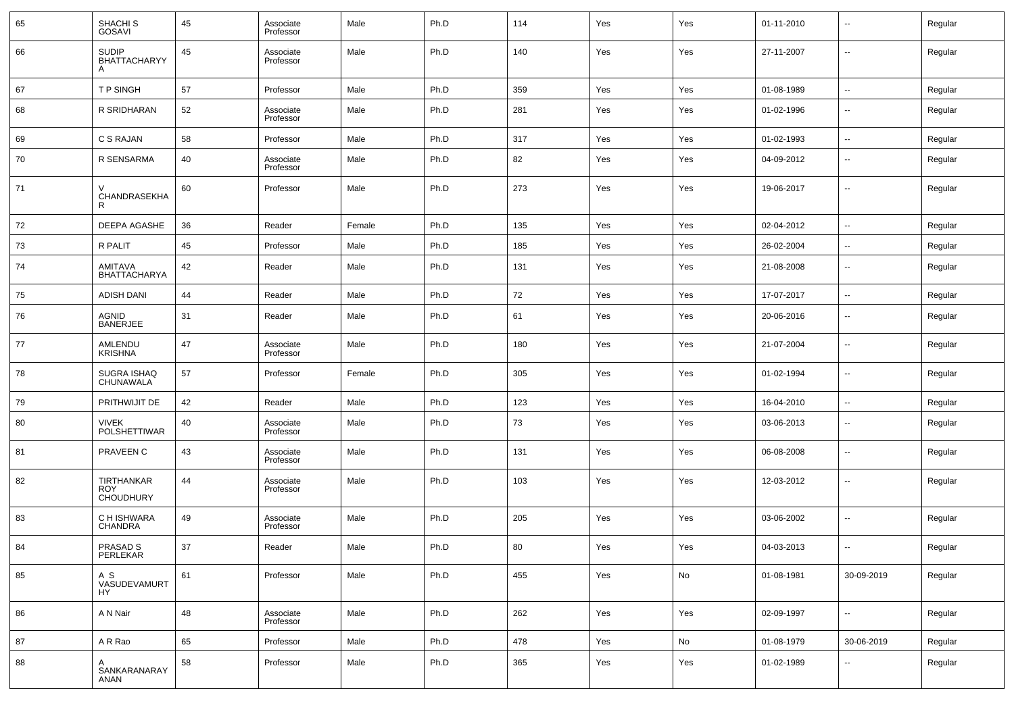| 65 | SHACHI <sub>S</sub><br>GOSAVI                | 45 | Associate<br>Professor | Male   | Ph.D | 114 | Yes | Yes | 01-11-2010 | $\overline{\phantom{a}}$ | Regular |
|----|----------------------------------------------|----|------------------------|--------|------|-----|-----|-----|------------|--------------------------|---------|
| 66 | <b>SUDIP</b><br>BHATTACHARYY<br>A            | 45 | Associate<br>Professor | Male   | Ph.D | 140 | Yes | Yes | 27-11-2007 | $\overline{\phantom{a}}$ | Regular |
| 67 | T P SINGH                                    | 57 | Professor              | Male   | Ph.D | 359 | Yes | Yes | 01-08-1989 | $\sim$                   | Regular |
| 68 | R SRIDHARAN                                  | 52 | Associate<br>Professor | Male   | Ph.D | 281 | Yes | Yes | 01-02-1996 | $\overline{\phantom{a}}$ | Regular |
| 69 | C S RAJAN                                    | 58 | Professor              | Male   | Ph.D | 317 | Yes | Yes | 01-02-1993 | $\sim$                   | Regular |
| 70 | R SENSARMA                                   | 40 | Associate<br>Professor | Male   | Ph.D | 82  | Yes | Yes | 04-09-2012 | $\overline{\phantom{a}}$ | Regular |
| 71 | CHANDRASEKHA<br>R                            | 60 | Professor              | Male   | Ph.D | 273 | Yes | Yes | 19-06-2017 | $\overline{\phantom{a}}$ | Regular |
| 72 | DEEPA AGASHE                                 | 36 | Reader                 | Female | Ph.D | 135 | Yes | Yes | 02-04-2012 | $\sim$                   | Regular |
| 73 | R PALIT                                      | 45 | Professor              | Male   | Ph.D | 185 | Yes | Yes | 26-02-2004 | $\overline{\phantom{a}}$ | Regular |
| 74 | AMITAVA<br><b>BHATTACHARYA</b>               | 42 | Reader                 | Male   | Ph.D | 131 | Yes | Yes | 21-08-2008 | $\overline{\phantom{a}}$ | Regular |
| 75 | <b>ADISH DANI</b>                            | 44 | Reader                 | Male   | Ph.D | 72  | Yes | Yes | 17-07-2017 | $\sim$                   | Regular |
| 76 | AGNID<br><b>BANERJEE</b>                     | 31 | Reader                 | Male   | Ph.D | 61  | Yes | Yes | 20-06-2016 | $\overline{\phantom{a}}$ | Regular |
| 77 | AMLENDU<br><b>KRISHNA</b>                    | 47 | Associate<br>Professor | Male   | Ph.D | 180 | Yes | Yes | 21-07-2004 | $\overline{\phantom{a}}$ | Regular |
| 78 | SUGRA ISHAQ<br>CHUNAWALA                     | 57 | Professor              | Female | Ph.D | 305 | Yes | Yes | 01-02-1994 | $\overline{\phantom{a}}$ | Regular |
| 79 | PRITHWIJIT DE                                | 42 | Reader                 | Male   | Ph.D | 123 | Yes | Yes | 16-04-2010 | $\overline{\phantom{a}}$ | Regular |
| 80 | <b>VIVEK</b><br><b>POLSHETTIWAR</b>          | 40 | Associate<br>Professor | Male   | Ph.D | 73  | Yes | Yes | 03-06-2013 | $\overline{\phantom{a}}$ | Regular |
| 81 | PRAVEEN C                                    | 43 | Associate<br>Professor | Male   | Ph.D | 131 | Yes | Yes | 06-08-2008 | $\overline{\phantom{a}}$ | Regular |
| 82 | TIRTHANKAR<br><b>ROY</b><br><b>CHOUDHURY</b> | 44 | Associate<br>Professor | Male   | Ph.D | 103 | Yes | Yes | 12-03-2012 | $\overline{\phantom{a}}$ | Regular |
| 83 | C H ISHWARA<br><b>CHANDRA</b>                | 49 | Associate<br>Professor | Male   | Ph.D | 205 | Yes | Yes | 03-06-2002 | $\overline{\phantom{a}}$ | Regular |
| 84 | <b>PRASAD S</b><br>PERLEKAR                  | 37 | Reader                 | Male   | Ph.D | 80  | Yes | Yes | 04-03-2013 | $\overline{\phantom{a}}$ | Regular |
| 85 | A S<br>VASUDEVAMURT<br>HY                    | 61 | Professor              | Male   | Ph.D | 455 | Yes | No  | 01-08-1981 | 30-09-2019               | Regular |
| 86 | A N Nair                                     | 48 | Associate<br>Professor | Male   | Ph.D | 262 | Yes | Yes | 02-09-1997 | $\overline{\phantom{a}}$ | Regular |
| 87 | A R Rao                                      | 65 | Professor              | Male   | Ph.D | 478 | Yes | No  | 01-08-1979 | 30-06-2019               | Regular |
| 88 | A<br>SANKARANARAY<br>ANAN                    | 58 | Professor              | Male   | Ph.D | 365 | Yes | Yes | 01-02-1989 | $\overline{\phantom{a}}$ | Regular |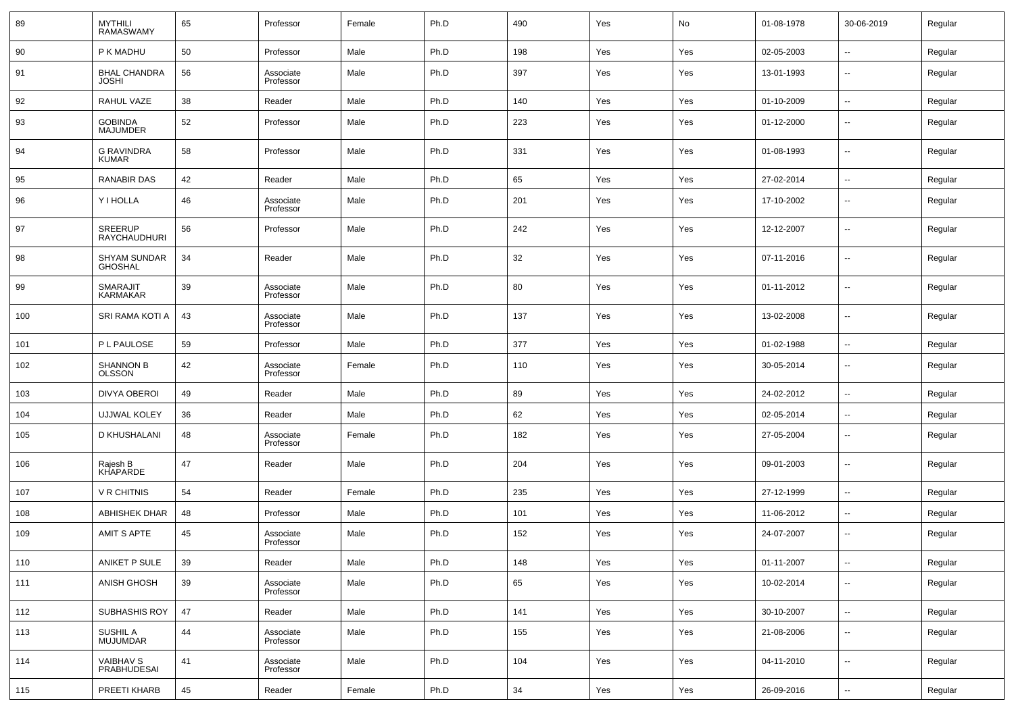| 89  | <b>MYTHILI</b><br><b>RAMASWAMY</b>     | 65 | Professor              | Female | Ph.D | 490    | Yes | No  | 01-08-1978 | 30-06-2019               | Regular |
|-----|----------------------------------------|----|------------------------|--------|------|--------|-----|-----|------------|--------------------------|---------|
| 90  | P K MADHU                              | 50 | Professor              | Male   | Ph.D | 198    | Yes | Yes | 02-05-2003 | $\overline{\phantom{a}}$ | Regular |
| 91  | <b>BHAL CHANDRA</b><br><b>JOSHI</b>    | 56 | Associate<br>Professor | Male   | Ph.D | 397    | Yes | Yes | 13-01-1993 | н.                       | Regular |
| 92  | RAHUL VAZE                             | 38 | Reader                 | Male   | Ph.D | 140    | Yes | Yes | 01-10-2009 | −−                       | Regular |
| 93  | <b>GOBINDA</b><br><b>MAJUMDER</b>      | 52 | Professor              | Male   | Ph.D | 223    | Yes | Yes | 01-12-2000 | --                       | Regular |
| 94  | <b>G RAVINDRA</b><br><b>KUMAR</b>      | 58 | Professor              | Male   | Ph.D | 331    | Yes | Yes | 01-08-1993 | --                       | Regular |
| 95  | <b>RANABIR DAS</b>                     | 42 | Reader                 | Male   | Ph.D | 65     | Yes | Yes | 27-02-2014 | --                       | Regular |
| 96  | Y I HOLLA                              | 46 | Associate<br>Professor | Male   | Ph.D | 201    | Yes | Yes | 17-10-2002 | $\overline{\phantom{a}}$ | Regular |
| 97  | SREERUP<br>RAYCHAUDHURI                | 56 | Professor              | Male   | Ph.D | 242    | Yes | Yes | 12-12-2007 | $\overline{\phantom{a}}$ | Regular |
| 98  | <b>SHYAM SUNDAR</b><br><b>GHOSHAL</b>  | 34 | Reader                 | Male   | Ph.D | 32     | Yes | Yes | 07-11-2016 | $\overline{\phantom{a}}$ | Regular |
| 99  | SMARAJIT<br>KARMAKAR                   | 39 | Associate<br>Professor | Male   | Ph.D | 80     | Yes | Yes | 01-11-2012 | $\overline{\phantom{a}}$ | Regular |
| 100 | SRI RAMA KOTI A                        | 43 | Associate<br>Professor | Male   | Ph.D | 137    | Yes | Yes | 13-02-2008 | $\overline{\phantom{a}}$ | Regular |
| 101 | P L PAULOSE                            | 59 | Professor              | Male   | Ph.D | 377    | Yes | Yes | 01-02-1988 | ÷.                       | Regular |
| 102 | <b>SHANNON B</b><br><b>OLSSON</b>      | 42 | Associate<br>Professor | Female | Ph.D | 110    | Yes | Yes | 30-05-2014 | --                       | Regular |
| 103 | DIVYA OBEROI                           | 49 | Reader                 | Male   | Ph.D | 89     | Yes | Yes | 24-02-2012 | Ξ.                       | Regular |
| 104 | <b>UJJWAL KOLEY</b>                    | 36 | Reader                 | Male   | Ph.D | 62     | Yes | Yes | 02-05-2014 | --                       | Regular |
| 105 | D KHUSHALANI                           | 48 | Associate<br>Professor | Female | Ph.D | 182    | Yes | Yes | 27-05-2004 | $\overline{\phantom{a}}$ | Regular |
| 106 | Rajesh B<br>KHAPARDE                   | 47 | Reader                 | Male   | Ph.D | 204    | Yes | Yes | 09-01-2003 | $\overline{\phantom{a}}$ | Regular |
| 107 | <b>V R CHITNIS</b>                     | 54 | Reader                 | Female | Ph.D | 235    | Yes | Yes | 27-12-1999 | ÷.                       | Regular |
| 108 | <b>ABHISHEK DHAR</b>                   | 48 | Professor              | Male   | Ph.D | 101    | Yes | Yes | 11-06-2012 | --                       | Regular |
| 109 | AMIT S APTE                            | 45 | Associate<br>Professor | Male   | Ph.D | 152    | Yes | Yes | 24-07-2007 | --                       | Regular |
| 110 | ANIKET P SULE                          | 39 | Reader                 | Male   | Ph.D | 148    | Yes | Yes | 01-11-2007 | --                       | Regular |
| 111 | ANISH GHOSH                            | 39 | Associate<br>Professor | Male   | Ph.D | 65     | Yes | Yes | 10-02-2014 | Ξ.                       | Regular |
| 112 | SUBHASHIS ROY                          | 47 | Reader                 | Male   | Ph.D | 141    | Yes | Yes | 30-10-2007 | Ξ.                       | Regular |
| 113 | SUSHIL A<br>MUJUMDAR                   | 44 | Associate<br>Professor | Male   | Ph.D | 155    | Yes | Yes | 21-08-2006 | н.                       | Regular |
| 114 | <b>VAIBHAV S</b><br><b>PRABHUDESAI</b> | 41 | Associate<br>Professor | Male   | Ph.D | 104    | Yes | Yes | 04-11-2010 | $\sim$                   | Regular |
| 115 | PREETI KHARB                           | 45 | Reader                 | Female | Ph.D | $34\,$ | Yes | Yes | 26-09-2016 | н,                       | Regular |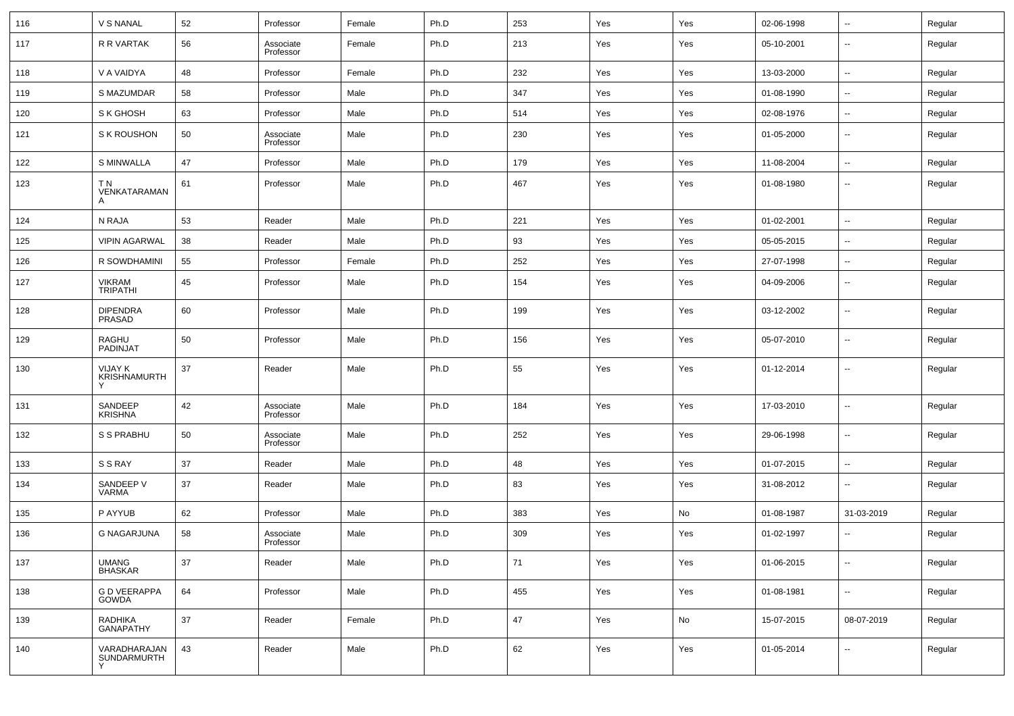| 116 | V S NANAL                             | 52 | Professor              | Female | Ph.D | 253      | Yes | Yes | 02-06-1998 | $\overline{\phantom{a}}$ | Regular |
|-----|---------------------------------------|----|------------------------|--------|------|----------|-----|-----|------------|--------------------------|---------|
| 117 | R R VARTAK                            | 56 | Associate<br>Professor | Female | Ph.D | 213      | Yes | Yes | 05-10-2001 | $\overline{\phantom{a}}$ | Regular |
| 118 | V A VAIDYA                            | 48 | Professor              | Female | Ph.D | 232      | Yes | Yes | 13-03-2000 | $\ddotsc$                | Regular |
| 119 | S MAZUMDAR                            | 58 | Professor              | Male   | Ph.D | 347      | Yes | Yes | 01-08-1990 | ц,                       | Regular |
| 120 | S K GHOSH                             | 63 | Professor              | Male   | Ph.D | 514      | Yes | Yes | 02-08-1976 | $\sim$                   | Regular |
| 121 | S K ROUSHON                           | 50 | Associate<br>Professor | Male   | Ph.D | 230      | Yes | Yes | 01-05-2000 | $\overline{\phantom{a}}$ | Regular |
| 122 | S MINWALLA                            | 47 | Professor              | Male   | Ph.D | 179      | Yes | Yes | 11-08-2004 | $\overline{\phantom{a}}$ | Regular |
| 123 | ΤN<br>VENKATARAMAN<br>A               | 61 | Professor              | Male   | Ph.D | 467      | Yes | Yes | 01-08-1980 | $\sim$                   | Regular |
| 124 | N RAJA                                | 53 | Reader                 | Male   | Ph.D | 221      | Yes | Yes | 01-02-2001 | $\overline{\phantom{a}}$ | Regular |
| 125 | <b>VIPIN AGARWAL</b>                  | 38 | Reader                 | Male   | Ph.D | 93       | Yes | Yes | 05-05-2015 | $\overline{\phantom{a}}$ | Regular |
| 126 | R SOWDHAMINI                          | 55 | Professor              | Female | Ph.D | 252      | Yes | Yes | 27-07-1998 | $\overline{\phantom{a}}$ | Regular |
| 127 | VIKRAM<br>TRIPATHI                    | 45 | Professor              | Male   | Ph.D | 154      | Yes | Yes | 04-09-2006 | $\overline{\phantom{a}}$ | Regular |
| 128 | DIPENDRA<br>PRASAD                    | 60 | Professor              | Male   | Ph.D | 199      | Yes | Yes | 03-12-2002 | --                       | Regular |
| 129 | <b>RAGHU</b><br>PADINJAT              | 50 | Professor              | Male   | Ph.D | 156      | Yes | Yes | 05-07-2010 | $\overline{\phantom{a}}$ | Regular |
| 130 | <b>VIJAY K</b><br><b>KRISHNAMURTH</b> | 37 | Reader                 | Male   | Ph.D | 55       | Yes | Yes | 01-12-2014 | $\overline{\phantom{a}}$ | Regular |
| 131 | SANDEEP<br><b>KRISHNA</b>             | 42 | Associate<br>Professor | Male   | Ph.D | 184      | Yes | Yes | 17-03-2010 | $\overline{\phantom{a}}$ | Regular |
| 132 | S S PRABHU                            | 50 | Associate<br>Professor | Male   | Ph.D | 252      | Yes | Yes | 29-06-1998 | $\overline{\phantom{a}}$ | Regular |
| 133 | S S RAY                               | 37 | Reader                 | Male   | Ph.D | 48       | Yes | Yes | 01-07-2015 | $\sim$                   | Regular |
| 134 | SANDEEP V<br>VARMA                    | 37 | Reader                 | Male   | Ph.D | 83       | Yes | Yes | 31-08-2012 | $\overline{\phantom{a}}$ | Regular |
| 135 | P AYYUB                               | 62 | Professor              | Male   | Ph.D | 383      | Yes | No  | 01-08-1987 | 31-03-2019               | Regular |
| 136 | <b>G NAGARJUNA</b>                    | 58 | Associate<br>Professor | Male   | Ph.D | 309      | Yes | Yes | 01-02-1997 | $\overline{\phantom{a}}$ | Regular |
| 137 | UMANG<br>BHASKAR                      | 37 | Reader                 | Male   | Ph.D | $\bf 71$ | Yes | Yes | 01-06-2015 | --                       | Regular |
| 138 | <b>G D VEERAPPA</b><br><b>GOWDA</b>   | 64 | Professor              | Male   | Ph.D | 455      | Yes | Yes | 01-08-1981 | $\sim$                   | Regular |
| 139 | RADHIKA<br>GANAPATHY                  | 37 | Reader                 | Female | Ph.D | 47       | Yes | No  | 15-07-2015 | 08-07-2019               | Regular |
| 140 | VARADHARAJAN<br><b>SUNDARMURTH</b>    | 43 | Reader                 | Male   | Ph.D | 62       | Yes | Yes | 01-05-2014 | $\ddotsc$                | Regular |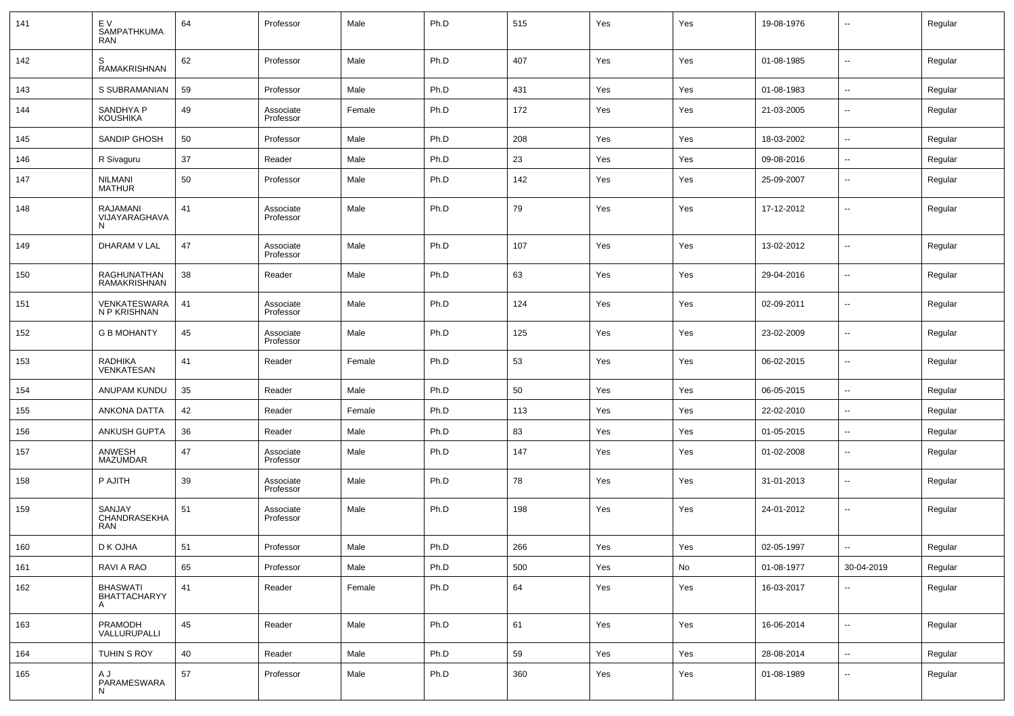| 141 | EV<br><b>SAMPATHKUMA</b><br><b>RAN</b> | 64 | Professor              | Male   | Ph.D | 515 | Yes | Yes | 19-08-1976 | $\overline{\phantom{a}}$ | Regular |
|-----|----------------------------------------|----|------------------------|--------|------|-----|-----|-----|------------|--------------------------|---------|
| 142 | S<br><b>RAMAKRISHNAN</b>               | 62 | Professor              | Male   | Ph.D | 407 | Yes | Yes | 01-08-1985 | $\sim$                   | Regular |
| 143 | S SUBRAMANIAN                          | 59 | Professor              | Male   | Ph.D | 431 | Yes | Yes | 01-08-1983 | $\sim$                   | Regular |
| 144 | SANDHYA P<br>KOUSHIKA                  | 49 | Associate<br>Professor | Female | Ph.D | 172 | Yes | Yes | 21-03-2005 | $\overline{\phantom{a}}$ | Regular |
| 145 | SANDIP GHOSH                           | 50 | Professor              | Male   | Ph.D | 208 | Yes | Yes | 18-03-2002 | $\sim$                   | Regular |
| 146 | R Sivaguru                             | 37 | Reader                 | Male   | Ph.D | 23  | Yes | Yes | 09-08-2016 | $\sim$                   | Regular |
| 147 | <b>NILMANI</b><br><b>MATHUR</b>        | 50 | Professor              | Male   | Ph.D | 142 | Yes | Yes | 25-09-2007 | $\overline{\phantom{a}}$ | Regular |
| 148 | RAJAMANI<br>VIJAYARAGHAVA<br>N         | 41 | Associate<br>Professor | Male   | Ph.D | 79  | Yes | Yes | 17-12-2012 | $\sim$                   | Regular |
| 149 | DHARAM V LAL                           | 47 | Associate<br>Professor | Male   | Ph.D | 107 | Yes | Yes | 13-02-2012 | $\overline{\phantom{a}}$ | Regular |
| 150 | RAGHUNATHAN<br><b>RAMAKRISHNAN</b>     | 38 | Reader                 | Male   | Ph.D | 63  | Yes | Yes | 29-04-2016 | $\overline{\phantom{a}}$ | Regular |
| 151 | VENKATESWARA<br>N P KRISHNAN           | 41 | Associate<br>Professor | Male   | Ph.D | 124 | Yes | Yes | 02-09-2011 | $\overline{\phantom{a}}$ | Regular |
| 152 | <b>G B MOHANTY</b>                     | 45 | Associate<br>Professor | Male   | Ph.D | 125 | Yes | Yes | 23-02-2009 | $\overline{\phantom{a}}$ | Regular |
| 153 | RADHIKA<br>VENKATESAN                  | 41 | Reader                 | Female | Ph.D | 53  | Yes | Yes | 06-02-2015 | ⊶.                       | Regular |
| 154 | ANUPAM KUNDU                           | 35 | Reader                 | Male   | Ph.D | 50  | Yes | Yes | 06-05-2015 | $\sim$                   | Regular |
| 155 | ANKONA DATTA                           | 42 | Reader                 | Female | Ph.D | 113 | Yes | Yes | 22-02-2010 | --                       | Regular |
| 156 | ANKUSH GUPTA                           | 36 | Reader                 | Male   | Ph.D | 83  | Yes | Yes | 01-05-2015 | $\overline{\phantom{a}}$ | Regular |
| 157 | ANWESH<br>MAZUMDAR                     | 47 | Associate<br>Professor | Male   | Ph.D | 147 | Yes | Yes | 01-02-2008 | $\overline{\phantom{a}}$ | Regular |
| 158 | P AJITH                                | 39 | Associate<br>Professor | Male   | Ph.D | 78  | Yes | Yes | 31-01-2013 | $\overline{\phantom{a}}$ | Regular |
| 159 | SANJAY<br>CHANDRASEKHA<br><b>RAN</b>   | 51 | Associate<br>Professor | Male   | Ph.D | 198 | Yes | Yes | 24-01-2012 | $\overline{\phantom{a}}$ | Regular |
| 160 | D K OJHA                               | 51 | Professor              | Male   | Ph.D | 266 | Yes | Yes | 02-05-1997 | $\overline{\phantom{a}}$ | Regular |
| 161 | RAVI A RAO                             | 65 | Professor              | Male   | Ph.D | 500 | Yes | No  | 01-08-1977 | 30-04-2019               | Regular |
| 162 | BHASWATI<br>BHATTACHARYY<br>A          | 41 | Reader                 | Female | Ph.D | 64  | Yes | Yes | 16-03-2017 | $\sim$                   | Regular |
| 163 | PRAMODH<br>VALLURUPALLI                | 45 | Reader                 | Male   | Ph.D | 61  | Yes | Yes | 16-06-2014 | $\sim$                   | Regular |
| 164 | TUHIN S ROY                            | 40 | Reader                 | Male   | Ph.D | 59  | Yes | Yes | 28-08-2014 | $\overline{\phantom{a}}$ | Regular |
| 165 | A J<br>PARAMESWARA<br>N                | 57 | Professor              | Male   | Ph.D | 360 | Yes | Yes | 01-08-1989 | $\overline{\phantom{a}}$ | Regular |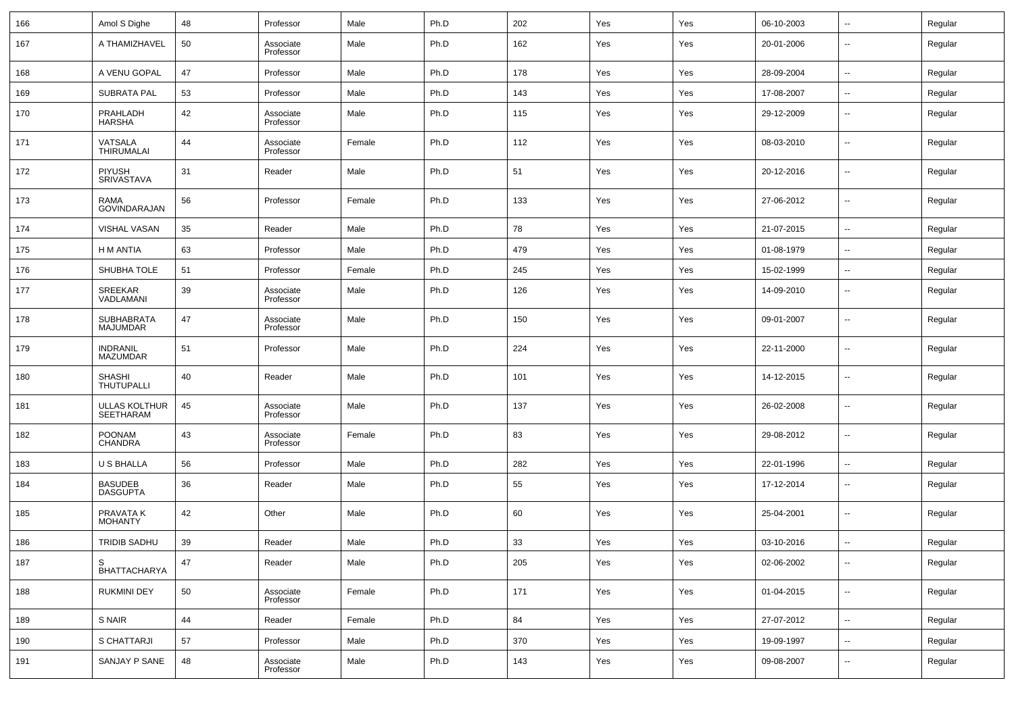| 166 | Amol S Dighe                       | 48 | Professor              | Male   | Ph.D | 202 | Yes | Yes | 06-10-2003 | $\sim$                   | Regular |
|-----|------------------------------------|----|------------------------|--------|------|-----|-----|-----|------------|--------------------------|---------|
| 167 | A THAMIZHAVEL                      | 50 | Associate<br>Professor | Male   | Ph.D | 162 | Yes | Yes | 20-01-2006 | $\overline{\phantom{a}}$ | Regular |
| 168 | A VENU GOPAL                       | 47 | Professor              | Male   | Ph.D | 178 | Yes | Yes | 28-09-2004 | $\overline{\phantom{a}}$ | Regular |
| 169 | <b>SUBRATA PAL</b>                 | 53 | Professor              | Male   | Ph.D | 143 | Yes | Yes | 17-08-2007 | $\sim$                   | Regular |
| 170 | PRAHLADH<br><b>HARSHA</b>          | 42 | Associate<br>Professor | Male   | Ph.D | 115 | Yes | Yes | 29-12-2009 | --                       | Regular |
| 171 | VATSALA<br><b>THIRUMALAI</b>       | 44 | Associate<br>Professor | Female | Ph.D | 112 | Yes | Yes | 08-03-2010 | --                       | Regular |
| 172 | PIYUSH<br><b>SRIVASTAVA</b>        | 31 | Reader                 | Male   | Ph.D | 51  | Yes | Yes | 20-12-2016 | --                       | Regular |
| 173 | RAMA<br><b>GOVINDARAJAN</b>        | 56 | Professor              | Female | Ph.D | 133 | Yes | Yes | 27-06-2012 | --                       | Regular |
| 174 | <b>VISHAL VASAN</b>                | 35 | Reader                 | Male   | Ph.D | 78  | Yes | Yes | 21-07-2015 | --                       | Regular |
| 175 | H M ANTIA                          | 63 | Professor              | Male   | Ph.D | 479 | Yes | Yes | 01-08-1979 | $\overline{\phantom{a}}$ | Regular |
| 176 | SHUBHA TOLE                        | 51 | Professor              | Female | Ph.D | 245 | Yes | Yes | 15-02-1999 | $\sim$                   | Regular |
| 177 | SREEKAR<br>VADLAMANI               | 39 | Associate<br>Professor | Male   | Ph.D | 126 | Yes | Yes | 14-09-2010 | --                       | Regular |
| 178 | SUBHABRATA<br><b>MAJUMDAR</b>      | 47 | Associate<br>Professor | Male   | Ph.D | 150 | Yes | Yes | 09-01-2007 | --                       | Regular |
| 179 | <b>INDRANIL</b><br><b>MAZUMDAR</b> | 51 | Professor              | Male   | Ph.D | 224 | Yes | Yes | 22-11-2000 | $\sim$                   | Regular |
| 180 | SHASHI<br><b>THUTUPALLI</b>        | 40 | Reader                 | Male   | Ph.D | 101 | Yes | Yes | 14-12-2015 | --                       | Regular |
| 181 | ULLAS KOLTHUR<br><b>SEETHARAM</b>  | 45 | Associate<br>Professor | Male   | Ph.D | 137 | Yes | Yes | 26-02-2008 | --                       | Regular |
| 182 | <b>POONAM</b><br><b>CHANDRA</b>    | 43 | Associate<br>Professor | Female | Ph.D | 83  | Yes | Yes | 29-08-2012 | $\sim$                   | Regular |
| 183 | U S BHALLA                         | 56 | Professor              | Male   | Ph.D | 282 | Yes | Yes | 22-01-1996 | $\sim$                   | Regular |
| 184 | <b>BASUDEB</b><br><b>DASGUPTA</b>  | 36 | Reader                 | Male   | Ph.D | 55  | Yes | Yes | 17-12-2014 | $\sim$                   | Regular |
| 185 | PRAVATA K<br><b>MOHANTY</b>        | 42 | Other                  | Male   | Ph.D | 60  | Yes | Yes | 25-04-2001 | $\overline{\phantom{a}}$ | Regular |
| 186 | <b>TRIDIB SADHU</b>                | 39 | Reader                 | Male   | Ph.D | 33  | Yes | Yes | 03-10-2016 | $\overline{a}$           | Regular |
| 187 | S<br>BHATTACHARYA                  | 47 | Reader                 | Male   | Ph.D | 205 | Yes | Yes | 02-06-2002 | $\sim$                   | Regular |
| 188 | <b>RUKMINI DEY</b>                 | 50 | Associate<br>Professor | Female | Ph.D | 171 | Yes | Yes | 01-04-2015 | $\overline{\phantom{a}}$ | Regular |
| 189 | S NAIR                             | 44 | Reader                 | Female | Ph.D | 84  | Yes | Yes | 27-07-2012 | ٠.                       | Regular |
| 190 | S CHATTARJI                        | 57 | Professor              | Male   | Ph.D | 370 | Yes | Yes | 19-09-1997 | $\sim$                   | Regular |
| 191 | SANJAY P SANE                      | 48 | Associate<br>Professor | Male   | Ph.D | 143 | Yes | Yes | 09-08-2007 | $\overline{\phantom{a}}$ | Regular |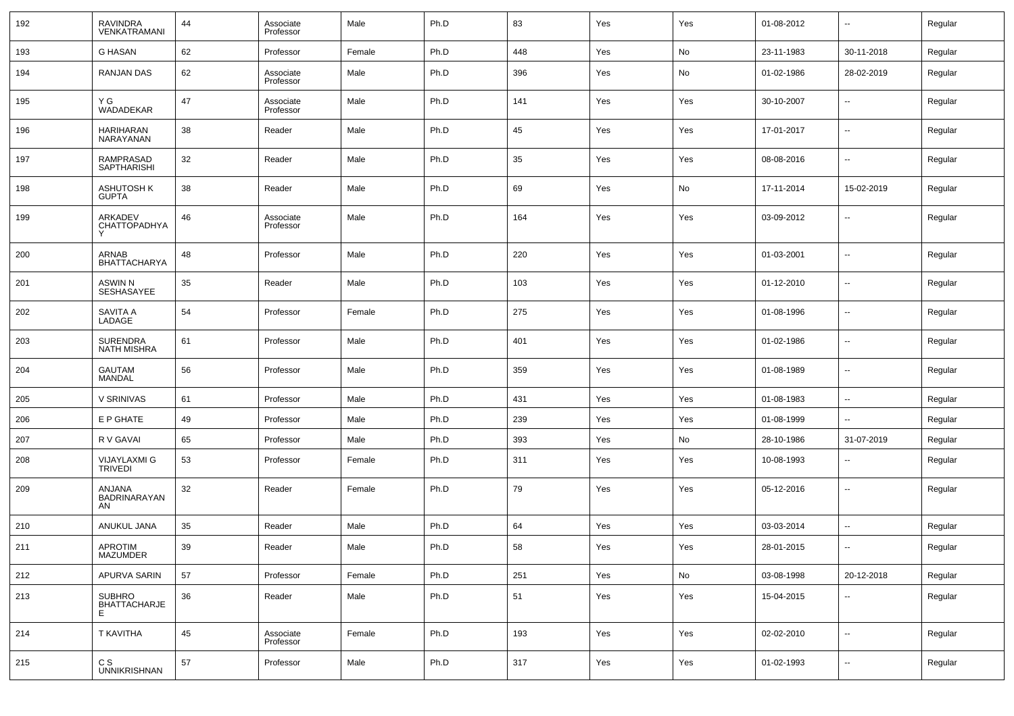| 192 | <b>RAVINDRA</b><br>VENKATRAMANI       | 44 | Associate<br>Professor | Male   | Ph.D | 83  | Yes | Yes | 01-08-2012 | $\overline{\phantom{a}}$ | Regular |
|-----|---------------------------------------|----|------------------------|--------|------|-----|-----|-----|------------|--------------------------|---------|
| 193 | <b>G HASAN</b>                        | 62 | Professor              | Female | Ph.D | 448 | Yes | No  | 23-11-1983 | 30-11-2018               | Regular |
| 194 | <b>RANJAN DAS</b>                     | 62 | Associate<br>Professor | Male   | Ph.D | 396 | Yes | No  | 01-02-1986 | 28-02-2019               | Regular |
| 195 | Y G<br>WADADEKAR                      | 47 | Associate<br>Professor | Male   | Ph.D | 141 | Yes | Yes | 30-10-2007 | $\overline{\phantom{a}}$ | Regular |
| 196 | <b>HARIHARAN</b><br>NARAYANAN         | 38 | Reader                 | Male   | Ph.D | 45  | Yes | Yes | 17-01-2017 | $\overline{\phantom{a}}$ | Regular |
| 197 | RAMPRASAD<br><b>SAPTHARISHI</b>       | 32 | Reader                 | Male   | Ph.D | 35  | Yes | Yes | 08-08-2016 | $\overline{\phantom{a}}$ | Regular |
| 198 | <b>ASHUTOSH K</b><br><b>GUPTA</b>     | 38 | Reader                 | Male   | Ph.D | 69  | Yes | No  | 17-11-2014 | 15-02-2019               | Regular |
| 199 | <b>ARKADEV</b><br>CHATTOPADHYA        | 46 | Associate<br>Professor | Male   | Ph.D | 164 | Yes | Yes | 03-09-2012 | $\overline{\phantom{a}}$ | Regular |
| 200 | ARNAB<br><b>BHATTACHARYA</b>          | 48 | Professor              | Male   | Ph.D | 220 | Yes | Yes | 01-03-2001 | $\overline{\phantom{a}}$ | Regular |
| 201 | <b>ASWIN N</b><br>SESHASAYEE          | 35 | Reader                 | Male   | Ph.D | 103 | Yes | Yes | 01-12-2010 | $\overline{\phantom{a}}$ | Regular |
| 202 | <b>SAVITA A</b><br>LADAGE             | 54 | Professor              | Female | Ph.D | 275 | Yes | Yes | 01-08-1996 | $\overline{\phantom{a}}$ | Regular |
| 203 | <b>SURENDRA</b><br><b>NATH MISHRA</b> | 61 | Professor              | Male   | Ph.D | 401 | Yes | Yes | 01-02-1986 | $\overline{\phantom{a}}$ | Regular |
| 204 | <b>GAUTAM</b><br><b>MANDAL</b>        | 56 | Professor              | Male   | Ph.D | 359 | Yes | Yes | 01-08-1989 | $\overline{\phantom{a}}$ | Regular |
| 205 | V SRINIVAS                            | 61 | Professor              | Male   | Ph.D | 431 | Yes | Yes | 01-08-1983 | $\overline{\phantom{a}}$ | Regular |
| 206 | E P GHATE                             | 49 | Professor              | Male   | Ph.D | 239 | Yes | Yes | 01-08-1999 | $\overline{\phantom{a}}$ | Regular |
| 207 | R V GAVAI                             | 65 | Professor              | Male   | Ph.D | 393 | Yes | No  | 28-10-1986 | 31-07-2019               | Regular |
| 208 | <b>VIJAYLAXMI G</b><br><b>TRIVEDI</b> | 53 | Professor              | Female | Ph.D | 311 | Yes | Yes | 10-08-1993 | $\overline{\phantom{a}}$ | Regular |
| 209 | ANJANA<br>BADRINARAYAN<br>AN          | 32 | Reader                 | Female | Ph.D | 79  | Yes | Yes | 05-12-2016 | $\overline{\phantom{a}}$ | Regular |
| 210 | ANUKUL JANA                           | 35 | Reader                 | Male   | Ph.D | 64  | Yes | Yes | 03-03-2014 | $\overline{\phantom{a}}$ | Regular |
| 211 | <b>APROTIM</b><br>MAZUMDER            | 39 | Reader                 | Male   | Ph.D | 58  | Yes | Yes | 28-01-2015 | $\overline{\phantom{a}}$ | Regular |
| 212 | APURVA SARIN                          | 57 | Professor              | Female | Ph.D | 251 | Yes | No  | 03-08-1998 | 20-12-2018               | Regular |
| 213 | <b>SUBHRO</b><br>BHATTACHARJE<br>E    | 36 | Reader                 | Male   | Ph.D | 51  | Yes | Yes | 15-04-2015 | $\overline{\phantom{a}}$ | Regular |
| 214 | T KAVITHA                             | 45 | Associate<br>Professor | Female | Ph.D | 193 | Yes | Yes | 02-02-2010 | $\overline{\phantom{a}}$ | Regular |
| 215 | C S<br><b>UNNIKRISHNAN</b>            | 57 | Professor              | Male   | Ph.D | 317 | Yes | Yes | 01-02-1993 | ۰.                       | Regular |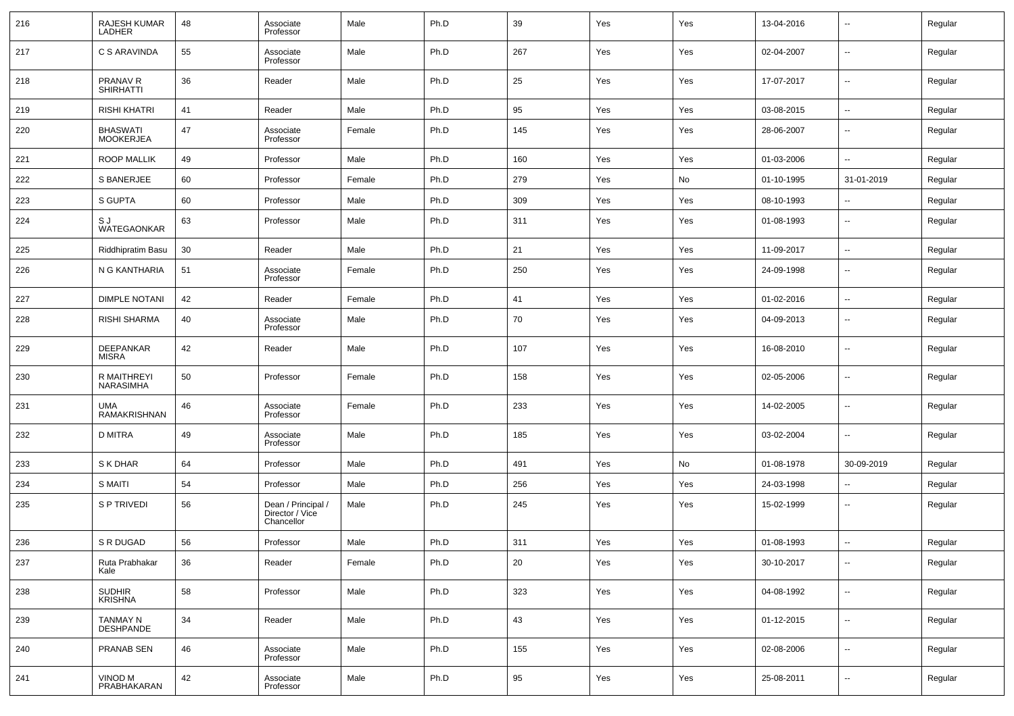| 216 | RAJESH KUMAR<br>LADHER              | 48 | Associate<br>Professor                              | Male   | Ph.D | 39  | Yes | Yes | 13-04-2016 | $\overline{\phantom{a}}$ | Regular |
|-----|-------------------------------------|----|-----------------------------------------------------|--------|------|-----|-----|-----|------------|--------------------------|---------|
| 217 | C S ARAVINDA                        | 55 | Associate<br>Professor                              | Male   | Ph.D | 267 | Yes | Yes | 02-04-2007 | $\overline{\phantom{a}}$ | Regular |
| 218 | PRANAV R<br><b>SHIRHATTI</b>        | 36 | Reader                                              | Male   | Ph.D | 25  | Yes | Yes | 17-07-2017 | $\overline{\phantom{a}}$ | Regular |
| 219 | <b>RISHI KHATRI</b>                 | 41 | Reader                                              | Male   | Ph.D | 95  | Yes | Yes | 03-08-2015 | --                       | Regular |
| 220 | <b>BHASWATI</b><br><b>MOOKERJEA</b> | 47 | Associate<br>Professor                              | Female | Ph.D | 145 | Yes | Yes | 28-06-2007 | $\overline{\phantom{a}}$ | Regular |
| 221 | <b>ROOP MALLIK</b>                  | 49 | Professor                                           | Male   | Ph.D | 160 | Yes | Yes | 01-03-2006 | $\overline{\phantom{a}}$ | Regular |
| 222 | S BANERJEE                          | 60 | Professor                                           | Female | Ph.D | 279 | Yes | No  | 01-10-1995 | 31-01-2019               | Regular |
| 223 | S GUPTA                             | 60 | Professor                                           | Male   | Ph.D | 309 | Yes | Yes | 08-10-1993 | --                       | Regular |
| 224 | S J<br>WATEGAONKAR                  | 63 | Professor                                           | Male   | Ph.D | 311 | Yes | Yes | 01-08-1993 | $\overline{\phantom{a}}$ | Regular |
| 225 | <b>Riddhipratim Basu</b>            | 30 | Reader                                              | Male   | Ph.D | 21  | Yes | Yes | 11-09-2017 | $\overline{\phantom{a}}$ | Regular |
| 226 | N G KANTHARIA                       | 51 | Associate<br>Professor                              | Female | Ph.D | 250 | Yes | Yes | 24-09-1998 | $\overline{\phantom{a}}$ | Regular |
| 227 | <b>DIMPLE NOTANI</b>                | 42 | Reader                                              | Female | Ph.D | 41  | Yes | Yes | 01-02-2016 | --                       | Regular |
| 228 | <b>RISHI SHARMA</b>                 | 40 | Associate<br>Professor                              | Male   | Ph.D | 70  | Yes | Yes | 04-09-2013 | $\overline{\phantom{a}}$ | Regular |
| 229 | DEEPANKAR<br><b>MISRA</b>           | 42 | Reader                                              | Male   | Ph.D | 107 | Yes | Yes | 16-08-2010 | $\overline{\phantom{a}}$ | Regular |
| 230 | R MAITHREYI<br><b>NARASIMHA</b>     | 50 | Professor                                           | Female | Ph.D | 158 | Yes | Yes | 02-05-2006 | --                       | Regular |
| 231 | UMA<br>RAMAKRISHNAN                 | 46 | Associate<br>Professor                              | Female | Ph.D | 233 | Yes | Yes | 14-02-2005 | $\overline{\phantom{a}}$ | Regular |
| 232 | <b>D MITRA</b>                      | 49 | Associate<br>Professor                              | Male   | Ph.D | 185 | Yes | Yes | 03-02-2004 | $\overline{\phantom{a}}$ | Regular |
| 233 | S K DHAR                            | 64 | Professor                                           | Male   | Ph.D | 491 | Yes | No  | 01-08-1978 | 30-09-2019               | Regular |
| 234 | <b>S MAITI</b>                      | 54 | Professor                                           | Male   | Ph.D | 256 | Yes | Yes | 24-03-1998 | $\overline{\phantom{a}}$ | Regular |
| 235 | S P TRIVEDI                         | 56 | Dean / Principal /<br>Director / Vice<br>Chancellor | Male   | Ph.D | 245 | Yes | Yes | 15-02-1999 | $\overline{\phantom{a}}$ | Regular |
| 236 | S R DUGAD                           | 56 | Professor                                           | Male   | Ph.D | 311 | Yes | Yes | 01-08-1993 | $\overline{\phantom{a}}$ | Regular |
| 237 | Ruta Prabhakar<br>Kale              | 36 | Reader                                              | Female | Ph.D | 20  | Yes | Yes | 30-10-2017 | $\overline{\phantom{a}}$ | Regular |
| 238 | SUDHIR<br>KRISHNA                   | 58 | Professor                                           | Male   | Ph.D | 323 | Yes | Yes | 04-08-1992 | ۰.                       | Regular |
| 239 | TANMAY N<br>DESHPANDE               | 34 | Reader                                              | Male   | Ph.D | 43  | Yes | Yes | 01-12-2015 | ۰.                       | Regular |
| 240 | <b>PRANAB SEN</b>                   | 46 | Associate<br>Professor                              | Male   | Ph.D | 155 | Yes | Yes | 02-08-2006 | ۰.                       | Regular |
| 241 | VINOD M<br>PRABHAKARAN              | 42 | Associate<br>Professor                              | Male   | Ph.D | 95  | Yes | Yes | 25-08-2011 | $\overline{\phantom{a}}$ | Regular |